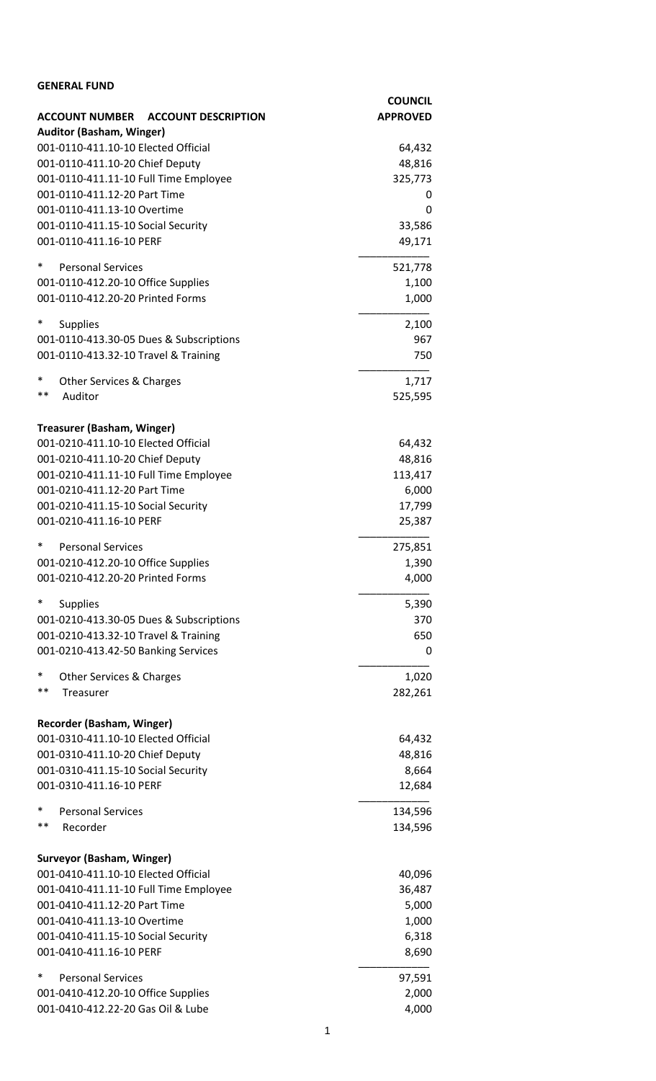| <b>GENERAL FUND</b>                                                      |                                   |
|--------------------------------------------------------------------------|-----------------------------------|
| <b>ACCOUNT NUMBER</b><br><b>ACCOUNT DESCRIPTION</b>                      | <b>COUNCIL</b><br><b>APPROVED</b> |
| <b>Auditor (Basham, Winger)</b>                                          |                                   |
| 001-0110-411.10-10 Elected Official                                      | 64,432                            |
| 001-0110-411.10-20 Chief Deputy                                          | 48,816                            |
| 001-0110-411.11-10 Full Time Employee                                    | 325,773                           |
| 001-0110-411.12-20 Part Time                                             | 0                                 |
| 001-0110-411.13-10 Overtime                                              | 0                                 |
| 001-0110-411.15-10 Social Security                                       | 33,586                            |
| 001-0110-411.16-10 PERF                                                  | 49,171                            |
| $\ast$<br><b>Personal Services</b>                                       | 521,778                           |
| 001-0110-412.20-10 Office Supplies                                       | 1,100                             |
| 001-0110-412.20-20 Printed Forms                                         | 1,000                             |
|                                                                          |                                   |
| $\ast$<br><b>Supplies</b>                                                | 2,100                             |
| 001-0110-413.30-05 Dues & Subscriptions                                  | 967                               |
| 001-0110-413.32-10 Travel & Training                                     | 750                               |
| $\ast$<br>Other Services & Charges                                       | 1,717                             |
| $***$<br>Auditor                                                         | 525,595                           |
|                                                                          |                                   |
| <b>Treasurer (Basham, Winger)</b><br>001-0210-411.10-10 Elected Official | 64,432                            |
| 001-0210-411.10-20 Chief Deputy                                          | 48,816                            |
| 001-0210-411.11-10 Full Time Employee                                    | 113,417                           |
| 001-0210-411.12-20 Part Time                                             | 6,000                             |
| 001-0210-411.15-10 Social Security                                       | 17,799                            |
| 001-0210-411.16-10 PERF                                                  | 25,387                            |
| ∗<br><b>Personal Services</b>                                            | 275,851                           |
| 001-0210-412.20-10 Office Supplies                                       | 1,390                             |
| 001-0210-412.20-20 Printed Forms                                         | 4,000                             |
| ∗<br><b>Supplies</b>                                                     | 5,390                             |
| 001-0210-413.30-05 Dues & Subscriptions                                  | 370                               |
| 001-0210-413.32-10 Travel & Training                                     | 650                               |
| 001-0210-413.42-50 Banking Services                                      | 0                                 |
| *<br><b>Other Services &amp; Charges</b>                                 | 1,020                             |
| **<br>Treasurer                                                          | 282,261                           |
|                                                                          |                                   |
| Recorder (Basham, Winger)                                                |                                   |
| 001-0310-411.10-10 Elected Official                                      | 64,432                            |
| 001-0310-411.10-20 Chief Deputy                                          | 48,816                            |
| 001-0310-411.15-10 Social Security                                       | 8,664                             |
| 001-0310-411.16-10 PERF                                                  | 12,684                            |
| $\ast$<br><b>Personal Services</b>                                       | 134,596                           |
| **<br>Recorder                                                           | 134,596                           |
| <b>Surveyor (Basham, Winger)</b>                                         |                                   |
| 001-0410-411.10-10 Elected Official                                      | 40,096                            |
| 001-0410-411.11-10 Full Time Employee                                    | 36,487                            |
| 001-0410-411.12-20 Part Time                                             | 5,000                             |
| 001-0410-411.13-10 Overtime                                              | 1,000                             |
| 001-0410-411.15-10 Social Security                                       | 6,318                             |
| 001-0410-411.16-10 PERF                                                  | 8,690                             |
| ∗<br><b>Personal Services</b>                                            | 97,591                            |
| 001-0410-412.20-10 Office Supplies                                       | 2,000                             |
| 001-0410-412.22-20 Gas Oil & Lube                                        | 4,000                             |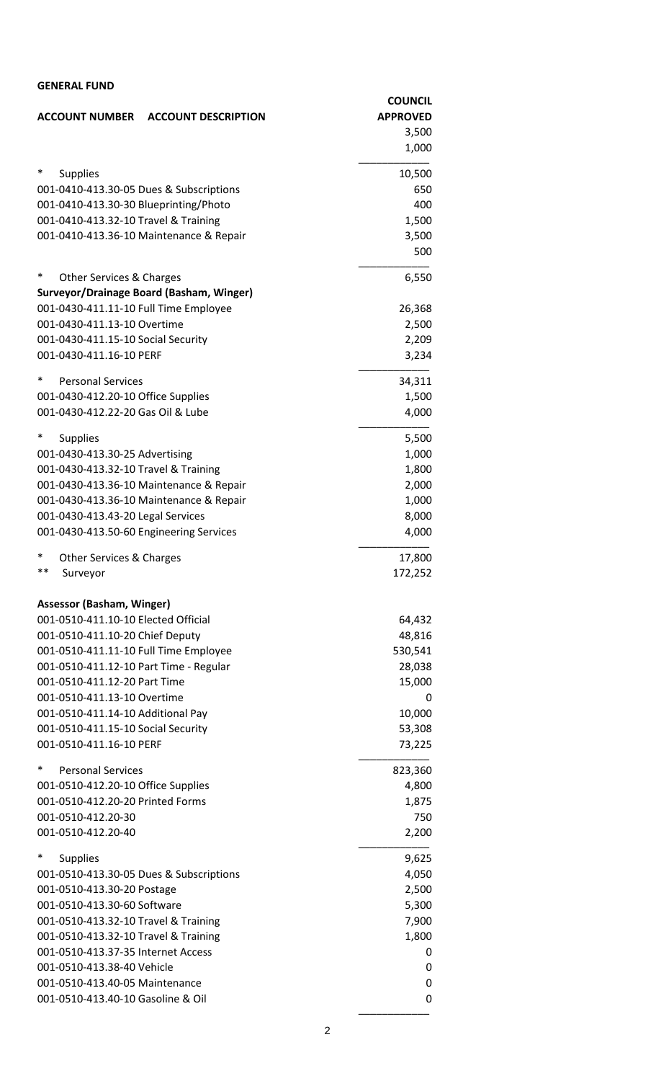| <b>GENERAL FUND</b>                                              |                                   |
|------------------------------------------------------------------|-----------------------------------|
| <b>ACCOUNT NUMBER</b><br><b>ACCOUNT DESCRIPTION</b>              | <b>COUNCIL</b><br><b>APPROVED</b> |
|                                                                  | 3,500                             |
|                                                                  | 1,000                             |
| $\ast$<br><b>Supplies</b>                                        | 10,500                            |
| 001-0410-413.30-05 Dues & Subscriptions                          | 650                               |
| 001-0410-413.30-30 Blueprinting/Photo                            | 400                               |
| 001-0410-413.32-10 Travel & Training                             | 1,500                             |
| 001-0410-413.36-10 Maintenance & Repair                          | 3,500                             |
|                                                                  | 500                               |
| $\ast$<br>Other Services & Charges                               | 6,550                             |
| Surveyor/Drainage Board (Basham, Winger)                         |                                   |
| 001-0430-411.11-10 Full Time Employee                            | 26,368                            |
| 001-0430-411.13-10 Overtime                                      | 2,500                             |
| 001-0430-411.15-10 Social Security<br>001-0430-411.16-10 PERF    | 2,209                             |
|                                                                  | 3,234                             |
| $\ast$<br><b>Personal Services</b>                               | 34,311                            |
| 001-0430-412.20-10 Office Supplies                               | 1,500                             |
| 001-0430-412.22-20 Gas Oil & Lube                                | 4,000                             |
| ∗<br><b>Supplies</b>                                             | 5,500                             |
| 001-0430-413.30-25 Advertising                                   | 1,000                             |
| 001-0430-413.32-10 Travel & Training                             | 1,800                             |
| 001-0430-413.36-10 Maintenance & Repair                          | 2,000                             |
| 001-0430-413.36-10 Maintenance & Repair                          | 1,000                             |
| 001-0430-413.43-20 Legal Services                                | 8,000                             |
| 001-0430-413.50-60 Engineering Services                          | 4,000                             |
| $\ast$<br>Other Services & Charges                               | 17,800                            |
| **<br>Surveyor                                                   | 172,252                           |
| <b>Assessor (Basham, Winger)</b>                                 |                                   |
| 001-0510-411.10-10 Elected Official                              | 64,432                            |
| 001-0510-411.10-20 Chief Deputy                                  | 48,816                            |
| 001-0510-411.11-10 Full Time Employee                            | 530,541                           |
| 001-0510-411.12-10 Part Time - Regular                           | 28,038                            |
| 001-0510-411.12-20 Part Time                                     | 15,000                            |
| 001-0510-411.13-10 Overtime                                      | 0                                 |
| 001-0510-411.14-10 Additional Pay                                | 10,000                            |
| 001-0510-411.15-10 Social Security                               | 53,308                            |
| 001-0510-411.16-10 PERF                                          | 73,225                            |
| *<br><b>Personal Services</b>                                    | 823,360                           |
| 001-0510-412.20-10 Office Supplies                               | 4,800                             |
| 001-0510-412.20-20 Printed Forms                                 | 1,875                             |
| 001-0510-412.20-30                                               | 750                               |
| 001-0510-412.20-40                                               | 2,200                             |
| ∗<br><b>Supplies</b>                                             | 9,625                             |
| 001-0510-413.30-05 Dues & Subscriptions                          | 4,050                             |
| 001-0510-413.30-20 Postage                                       | 2,500                             |
| 001-0510-413.30-60 Software                                      | 5,300                             |
| 001-0510-413.32-10 Travel & Training                             | 7,900                             |
| 001-0510-413.32-10 Travel & Training                             | 1,800                             |
| 001-0510-413.37-35 Internet Access<br>001-0510-413.38-40 Vehicle | 0                                 |
| 001-0510-413.40-05 Maintenance                                   | 0<br>0                            |
| 001-0510-413.40-10 Gasoline & Oil                                | 0                                 |
|                                                                  |                                   |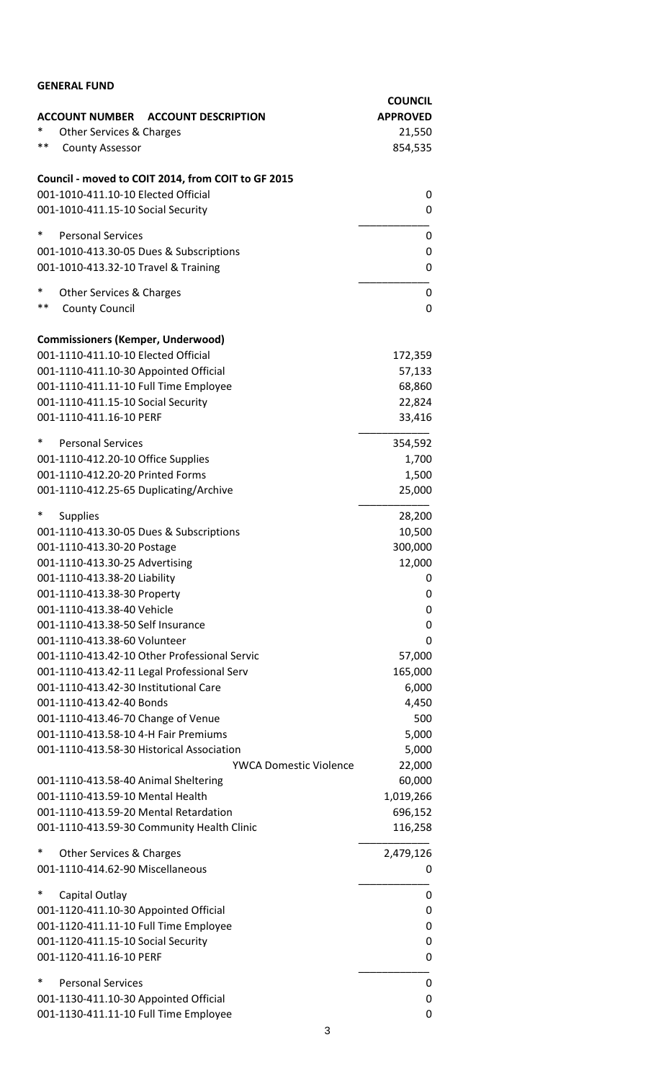| <b>GENERAL FUND</b>                                                            |                   |
|--------------------------------------------------------------------------------|-------------------|
|                                                                                | <b>COUNCIL</b>    |
| <b>ACCOUNT NUMBER</b><br><b>ACCOUNT DESCRIPTION</b>                            | <b>APPROVED</b>   |
| *<br>Other Services & Charges                                                  | 21,550            |
| **<br><b>County Assessor</b>                                                   | 854,535           |
| Council - moved to COIT 2014, from COIT to GF 2015                             |                   |
| 001-1010-411.10-10 Elected Official                                            | 0                 |
| 001-1010-411.15-10 Social Security                                             | 0                 |
| $\ast$<br><b>Personal Services</b>                                             | 0                 |
| 001-1010-413.30-05 Dues & Subscriptions                                        | 0                 |
| 001-1010-413.32-10 Travel & Training                                           | $\Omega$          |
| $\ast$<br>Other Services & Charges                                             | 0                 |
| **<br><b>County Council</b>                                                    | 0                 |
| <b>Commissioners (Kemper, Underwood)</b>                                       |                   |
| 001-1110-411.10-10 Elected Official                                            | 172,359           |
| 001-1110-411.10-30 Appointed Official                                          | 57,133            |
| 001-1110-411.11-10 Full Time Employee                                          | 68,860            |
| 001-1110-411.15-10 Social Security                                             | 22,824            |
| 001-1110-411.16-10 PERF                                                        | 33,416            |
| $\ast$<br><b>Personal Services</b>                                             | 354,592           |
| 001-1110-412.20-10 Office Supplies                                             | 1,700             |
| 001-1110-412.20-20 Printed Forms                                               | 1,500             |
| 001-1110-412.25-65 Duplicating/Archive                                         | 25,000            |
| ∗<br><b>Supplies</b>                                                           | 28,200            |
| 001-1110-413.30-05 Dues & Subscriptions                                        | 10,500            |
| 001-1110-413.30-20 Postage                                                     | 300,000           |
| 001-1110-413.30-25 Advertising                                                 | 12,000            |
| 001-1110-413.38-20 Liability                                                   | 0                 |
| 001-1110-413.38-30 Property                                                    | 0                 |
| 001-1110-413.38-40 Vehicle                                                     | 0                 |
| 001-1110-413.38-50 Self Insurance                                              | 0                 |
| 001-1110-413.38-60 Volunteer<br>001-1110-413.42-10 Other Professional Servic   | 0                 |
| 001-1110-413.42-11 Legal Professional Serv                                     | 57,000<br>165,000 |
| 001-1110-413.42-30 Institutional Care                                          | 6,000             |
| 001-1110-413.42-40 Bonds                                                       | 4,450             |
| 001-1110-413.46-70 Change of Venue                                             | 500               |
| 001-1110-413.58-10 4-H Fair Premiums                                           | 5,000             |
| 001-1110-413.58-30 Historical Association                                      | 5,000             |
| <b>YWCA Domestic Violence</b>                                                  | 22,000            |
| 001-1110-413.58-40 Animal Sheltering                                           | 60,000            |
| 001-1110-413.59-10 Mental Health                                               | 1,019,266         |
| 001-1110-413.59-20 Mental Retardation                                          | 696,152           |
| 001-1110-413.59-30 Community Health Clinic                                     | 116,258           |
|                                                                                |                   |
| $\ast$<br>Other Services & Charges<br>001-1110-414.62-90 Miscellaneous         | 2,479,126         |
|                                                                                | 0                 |
| $\ast$<br>Capital Outlay                                                       | 0                 |
| 001-1120-411.10-30 Appointed Official                                          | 0                 |
| 001-1120-411.11-10 Full Time Employee                                          | 0                 |
| 001-1120-411.15-10 Social Security                                             | 0                 |
| 001-1120-411.16-10 PERF                                                        | 0                 |
| *<br><b>Personal Services</b>                                                  | 0                 |
| 001-1130-411.10-30 Appointed Official<br>001-1130-411.11-10 Full Time Employee | 0<br>0            |
|                                                                                |                   |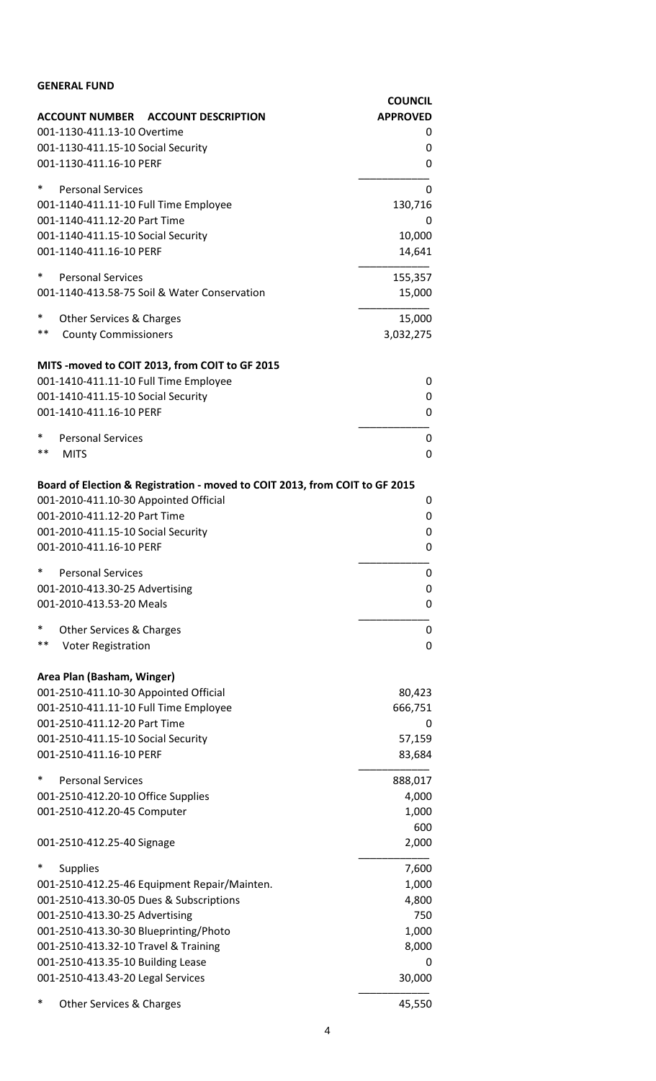| <b>GENERAL FUND</b>                                                                                                  |                                   |
|----------------------------------------------------------------------------------------------------------------------|-----------------------------------|
|                                                                                                                      | <b>COUNCIL</b><br><b>APPROVED</b> |
| ACCOUNT NUMBER ACCOUNT DESCRIPTION<br>001-1130-411.13-10 Overtime                                                    | 0                                 |
| 001-1130-411.15-10 Social Security                                                                                   | 0                                 |
| 001-1130-411.16-10 PERF                                                                                              | 0                                 |
| $\ast$<br><b>Personal Services</b>                                                                                   |                                   |
| 001-1140-411.11-10 Full Time Employee                                                                                | 0<br>130,716                      |
| 001-1140-411.12-20 Part Time                                                                                         | 0                                 |
| 001-1140-411.15-10 Social Security                                                                                   | 10,000                            |
| 001-1140-411.16-10 PERF                                                                                              | 14,641                            |
| $\ast$<br><b>Personal Services</b>                                                                                   | 155,357                           |
| 001-1140-413.58-75 Soil & Water Conservation                                                                         | 15,000                            |
| $\ast$                                                                                                               |                                   |
| Other Services & Charges<br>$***$<br><b>County Commissioners</b>                                                     | 15,000<br>3,032,275               |
|                                                                                                                      |                                   |
| MITS -moved to COIT 2013, from COIT to GF 2015                                                                       |                                   |
| 001-1410-411.11-10 Full Time Employee                                                                                | 0                                 |
| 001-1410-411.15-10 Social Security                                                                                   | 0                                 |
| 001-1410-411.16-10 PERF                                                                                              | 0                                 |
| ∗<br><b>Personal Services</b>                                                                                        | 0                                 |
| $***$<br><b>MITS</b>                                                                                                 | 0                                 |
|                                                                                                                      |                                   |
| Board of Election & Registration - moved to COIT 2013, from COIT to GF 2015<br>001-2010-411.10-30 Appointed Official | 0                                 |
| 001-2010-411.12-20 Part Time                                                                                         | 0                                 |
| 001-2010-411.15-10 Social Security                                                                                   | 0                                 |
| 001-2010-411.16-10 PERF                                                                                              | 0                                 |
| $\ast$<br><b>Personal Services</b>                                                                                   | 0                                 |
| 001-2010-413.30-25 Advertising                                                                                       | 0                                 |
| 001-2010-413.53-20 Meals                                                                                             | 0                                 |
| ∗<br><b>Other Services &amp; Charges</b>                                                                             | 0                                 |
| $***$<br><b>Voter Registration</b>                                                                                   | 0                                 |
|                                                                                                                      |                                   |
| Area Plan (Basham, Winger)                                                                                           |                                   |
| 001-2510-411.10-30 Appointed Official                                                                                | 80,423                            |
| 001-2510-411.11-10 Full Time Employee                                                                                | 666,751                           |
| 001-2510-411.12-20 Part Time                                                                                         | 0                                 |
| 001-2510-411.15-10 Social Security<br>001-2510-411.16-10 PERF                                                        | 57,159<br>83,684                  |
|                                                                                                                      |                                   |
| *<br><b>Personal Services</b>                                                                                        | 888,017                           |
| 001-2510-412.20-10 Office Supplies                                                                                   | 4,000                             |
| 001-2510-412.20-45 Computer                                                                                          | 1,000<br>600                      |
| 001-2510-412.25-40 Signage                                                                                           | 2,000                             |
|                                                                                                                      |                                   |
| ∗<br><b>Supplies</b>                                                                                                 | 7,600                             |
| 001-2510-412.25-46 Equipment Repair/Mainten.                                                                         | 1,000                             |
| 001-2510-413.30-05 Dues & Subscriptions<br>001-2510-413.30-25 Advertising                                            | 4,800<br>750                      |
| 001-2510-413.30-30 Blueprinting/Photo                                                                                | 1,000                             |
| 001-2510-413.32-10 Travel & Training                                                                                 | 8,000                             |
| 001-2510-413.35-10 Building Lease                                                                                    | 0                                 |
| 001-2510-413.43-20 Legal Services                                                                                    | 30,000                            |
| ∗<br>Other Services & Charges                                                                                        | 45,550                            |
|                                                                                                                      |                                   |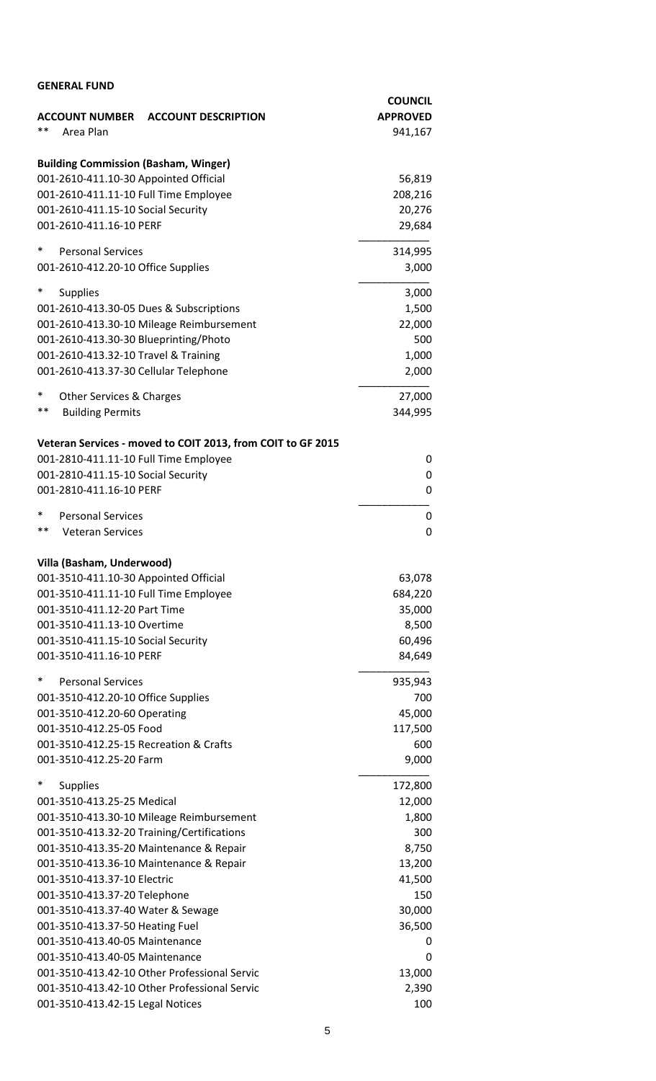| <b>GENERAL FUND</b>                                                                          |                                   |
|----------------------------------------------------------------------------------------------|-----------------------------------|
| <b>ACCOUNT NUMBER</b>                                                                        | <b>COUNCIL</b><br><b>APPROVED</b> |
| <b>ACCOUNT DESCRIPTION</b><br>**<br>Area Plan                                                | 941,167                           |
|                                                                                              |                                   |
| <b>Building Commission (Basham, Winger)</b>                                                  |                                   |
| 001-2610-411.10-30 Appointed Official                                                        | 56,819                            |
| 001-2610-411.11-10 Full Time Employee                                                        | 208,216                           |
| 001-2610-411.15-10 Social Security                                                           | 20,276                            |
| 001-2610-411.16-10 PERF                                                                      | 29,684                            |
| ∗<br><b>Personal Services</b>                                                                | 314,995                           |
| 001-2610-412.20-10 Office Supplies                                                           | 3,000                             |
| $\ast$<br><b>Supplies</b>                                                                    | 3,000                             |
| 001-2610-413.30-05 Dues & Subscriptions                                                      | 1,500                             |
| 001-2610-413.30-10 Mileage Reimbursement                                                     | 22,000                            |
| 001-2610-413.30-30 Blueprinting/Photo                                                        | 500                               |
| 001-2610-413.32-10 Travel & Training                                                         | 1,000                             |
| 001-2610-413.37-30 Cellular Telephone                                                        | 2,000                             |
| ∗<br><b>Other Services &amp; Charges</b>                                                     | 27,000                            |
| $***$<br><b>Building Permits</b>                                                             | 344,995                           |
|                                                                                              |                                   |
| Veteran Services - moved to COIT 2013, from COIT to GF 2015                                  |                                   |
| 001-2810-411.11-10 Full Time Employee                                                        | 0                                 |
| 001-2810-411.15-10 Social Security<br>001-2810-411.16-10 PERF                                | 0<br>0                            |
|                                                                                              |                                   |
| ∗<br><b>Personal Services</b>                                                                | 0                                 |
| $***$<br><b>Veteran Services</b>                                                             | 0                                 |
| Villa (Basham, Underwood)                                                                    |                                   |
| 001-3510-411.10-30 Appointed Official                                                        | 63,078                            |
| 001-3510-411.11-10 Full Time Employee                                                        | 684,220                           |
| 001-3510-411.12-20 Part Time                                                                 | 35,000                            |
| 001-3510-411.13-10 Overtime                                                                  | 8,500                             |
| 001-3510-411.15-10 Social Security                                                           | 60,496                            |
| 001-3510-411.16-10 PERF                                                                      | 84,649                            |
| $\ast$<br><b>Personal Services</b>                                                           | 935,943                           |
| 001-3510-412.20-10 Office Supplies                                                           | 700                               |
| 001-3510-412.20-60 Operating                                                                 | 45,000                            |
| 001-3510-412.25-05 Food                                                                      | 117,500                           |
| 001-3510-412.25-15 Recreation & Crafts<br>001-3510-412.25-20 Farm                            | 600                               |
|                                                                                              | 9,000                             |
| $\ast$<br><b>Supplies</b>                                                                    | 172,800                           |
| 001-3510-413.25-25 Medical                                                                   | 12,000                            |
| 001-3510-413.30-10 Mileage Reimbursement                                                     | 1,800                             |
| 001-3510-413.32-20 Training/Certifications                                                   | 300                               |
| 001-3510-413.35-20 Maintenance & Repair<br>001-3510-413.36-10 Maintenance & Repair           | 8,750<br>13,200                   |
| 001-3510-413.37-10 Electric                                                                  | 41,500                            |
| 001-3510-413.37-20 Telephone                                                                 | 150                               |
| 001-3510-413.37-40 Water & Sewage                                                            | 30,000                            |
| 001-3510-413.37-50 Heating Fuel                                                              | 36,500                            |
| 001-3510-413.40-05 Maintenance                                                               | 0                                 |
| 001-3510-413.40-05 Maintenance                                                               | 0                                 |
| 001-3510-413.42-10 Other Professional Servic<br>001-3510-413.42-10 Other Professional Servic | 13,000<br>2,390                   |
| 001-3510-413.42-15 Legal Notices                                                             | 100                               |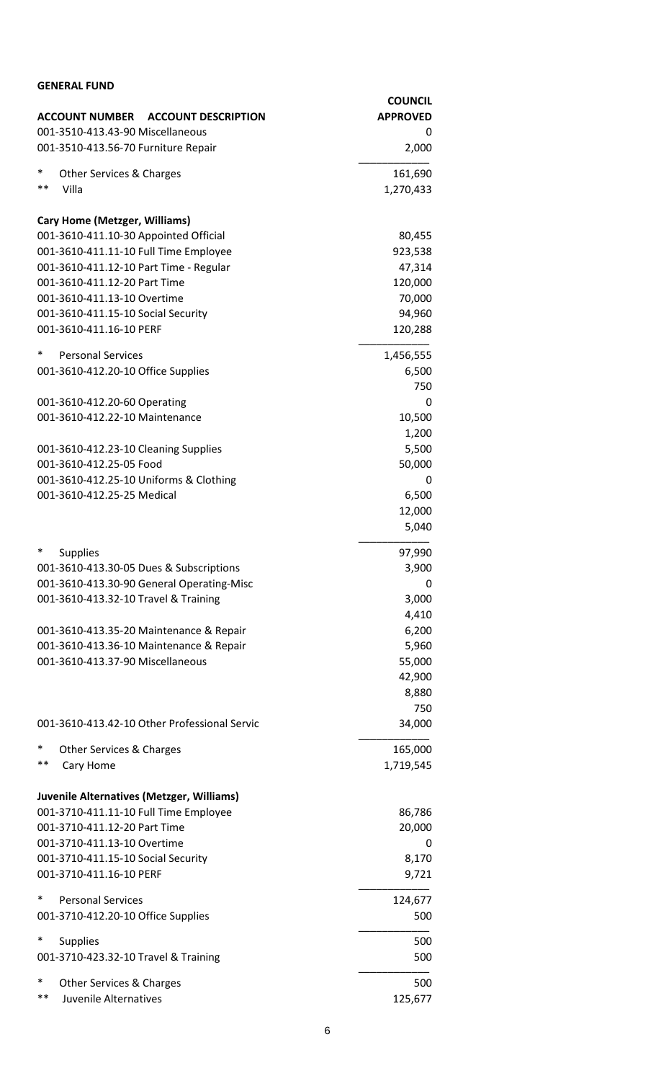| <b>GENERAL FUND</b>                                                     |                 |
|-------------------------------------------------------------------------|-----------------|
|                                                                         | <b>COUNCIL</b>  |
| ACCOUNT NUMBER ACCOUNT DESCRIPTION                                      | <b>APPROVED</b> |
| 001-3510-413.43-90 Miscellaneous<br>001-3510-413.56-70 Furniture Repair | 0<br>2,000      |
|                                                                         |                 |
| $\ast$<br>Other Services & Charges                                      | 161,690         |
| $***$<br>Villa                                                          | 1,270,433       |
| <b>Cary Home (Metzger, Williams)</b>                                    |                 |
| 001-3610-411.10-30 Appointed Official                                   | 80,455          |
| 001-3610-411.11-10 Full Time Employee                                   | 923,538         |
| 001-3610-411.12-10 Part Time - Regular                                  | 47,314          |
| 001-3610-411.12-20 Part Time                                            | 120,000         |
| 001-3610-411.13-10 Overtime                                             | 70,000          |
| 001-3610-411.15-10 Social Security                                      | 94,960          |
| 001-3610-411.16-10 PERF                                                 | 120,288         |
| $\ast$<br><b>Personal Services</b>                                      | 1,456,555       |
| 001-3610-412.20-10 Office Supplies                                      | 6,500           |
|                                                                         | 750             |
| 001-3610-412.20-60 Operating                                            | 0               |
| 001-3610-412.22-10 Maintenance                                          | 10,500          |
|                                                                         | 1,200           |
| 001-3610-412.23-10 Cleaning Supplies                                    | 5,500           |
| 001-3610-412.25-05 Food                                                 | 50,000          |
| 001-3610-412.25-10 Uniforms & Clothing                                  | 0               |
| 001-3610-412.25-25 Medical                                              | 6,500           |
|                                                                         | 12,000          |
|                                                                         | 5,040           |
| $\ast$<br><b>Supplies</b>                                               | 97,990          |
| 001-3610-413.30-05 Dues & Subscriptions                                 | 3,900           |
| 001-3610-413.30-90 General Operating-Misc                               | 0               |
| 001-3610-413.32-10 Travel & Training                                    | 3,000           |
|                                                                         | 4,410           |
| 001-3610-413.35-20 Maintenance & Repair                                 | 6,200           |
| 001-3610-413.36-10 Maintenance & Repair                                 | 5,960           |
| 001-3610-413.37-90 Miscellaneous                                        | 55,000          |
|                                                                         | 42,900          |
|                                                                         | 8,880           |
| 001-3610-413.42-10 Other Professional Servic                            | 750<br>34,000   |
|                                                                         |                 |
| ∗<br><b>Other Services &amp; Charges</b>                                | 165,000         |
| $***$<br>Cary Home                                                      | 1,719,545       |
| Juvenile Alternatives (Metzger, Williams)                               |                 |
| 001-3710-411.11-10 Full Time Employee                                   | 86,786          |
| 001-3710-411.12-20 Part Time                                            | 20,000          |
| 001-3710-411.13-10 Overtime                                             | 0               |
| 001-3710-411.15-10 Social Security                                      | 8,170           |
| 001-3710-411.16-10 PERF                                                 | 9,721           |
| *<br><b>Personal Services</b>                                           | 124,677         |
| 001-3710-412.20-10 Office Supplies                                      | 500             |
|                                                                         |                 |
| ∗<br><b>Supplies</b>                                                    | 500             |
| 001-3710-423.32-10 Travel & Training                                    | 500             |
| *<br>Other Services & Charges                                           | 500             |
| $***$<br>Juvenile Alternatives                                          | 125,677         |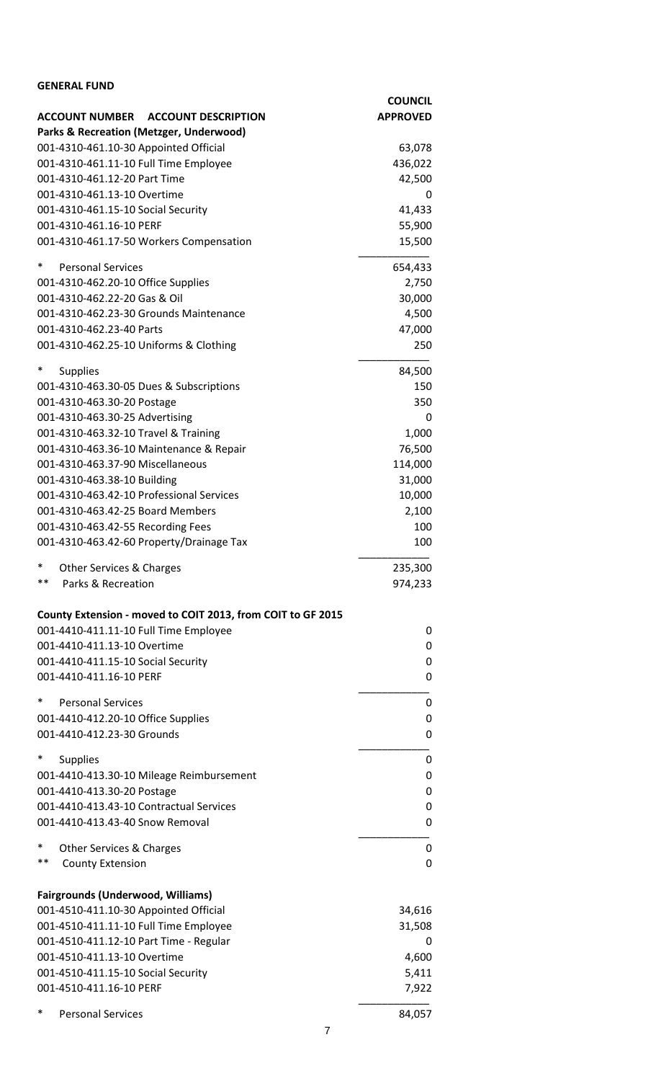| <b>GENERAL FUND</b>                                         |                 |
|-------------------------------------------------------------|-----------------|
|                                                             | <b>COUNCIL</b>  |
| ACCOUNT NUMBER ACCOUNT DESCRIPTION                          | <b>APPROVED</b> |
| <b>Parks &amp; Recreation (Metzger, Underwood)</b>          |                 |
| 001-4310-461.10-30 Appointed Official                       | 63,078          |
| 001-4310-461.11-10 Full Time Employee                       | 436,022         |
| 001-4310-461.12-20 Part Time                                | 42,500          |
| 001-4310-461.13-10 Overtime                                 | 0               |
| 001-4310-461.15-10 Social Security                          | 41,433          |
| 001-4310-461.16-10 PERF                                     | 55,900          |
| 001-4310-461.17-50 Workers Compensation                     | 15,500          |
|                                                             |                 |
| $\ast$<br><b>Personal Services</b>                          | 654,433         |
| 001-4310-462.20-10 Office Supplies                          | 2,750           |
| 001-4310-462.22-20 Gas & Oil                                | 30,000          |
| 001-4310-462.23-30 Grounds Maintenance                      | 4,500           |
| 001-4310-462.23-40 Parts                                    | 47,000          |
| 001-4310-462.25-10 Uniforms & Clothing                      | 250             |
| $\ast$                                                      |                 |
| <b>Supplies</b>                                             | 84,500          |
| 001-4310-463.30-05 Dues & Subscriptions                     | 150             |
| 001-4310-463.30-20 Postage                                  | 350             |
| 001-4310-463.30-25 Advertising                              | 0               |
| 001-4310-463.32-10 Travel & Training                        | 1,000           |
| 001-4310-463.36-10 Maintenance & Repair                     | 76,500          |
| 001-4310-463.37-90 Miscellaneous                            | 114,000         |
| 001-4310-463.38-10 Building                                 | 31,000          |
| 001-4310-463.42-10 Professional Services                    | 10,000          |
| 001-4310-463.42-25 Board Members                            | 2,100           |
| 001-4310-463.42-55 Recording Fees                           | 100             |
| 001-4310-463.42-60 Property/Drainage Tax                    | 100             |
| $\ast$                                                      |                 |
| Other Services & Charges<br>**<br>Parks & Recreation        | 235,300         |
|                                                             | 974,233         |
| County Extension - moved to COIT 2013, from COIT to GF 2015 |                 |
|                                                             |                 |
| 001-4410-411.11-10 Full Time Employee                       | 0               |
| 001-4410-411.13-10 Overtime                                 | 0               |
| 001-4410-411.15-10 Social Security                          | 0               |
| 001-4410-411.16-10 PERF                                     | 0               |
| *<br><b>Personal Services</b>                               | 0               |
| 001-4410-412.20-10 Office Supplies                          | 0               |
| 001-4410-412.23-30 Grounds                                  | 0               |
|                                                             |                 |
| $\ast$<br><b>Supplies</b>                                   | 0               |
| 001-4410-413.30-10 Mileage Reimbursement                    | 0               |
| 001-4410-413.30-20 Postage                                  | 0               |
| 001-4410-413.43-10 Contractual Services                     | 0               |
| 001-4410-413.43-40 Snow Removal                             | 0               |
|                                                             |                 |
| ∗<br>Other Services & Charges                               | 0               |
| **<br><b>County Extension</b>                               | 0               |
|                                                             |                 |
| <b>Fairgrounds (Underwood, Williams)</b>                    |                 |
| 001-4510-411.10-30 Appointed Official                       | 34,616          |
| 001-4510-411.11-10 Full Time Employee                       | 31,508          |
| 001-4510-411.12-10 Part Time - Regular                      | 0               |
| 001-4510-411.13-10 Overtime                                 | 4,600           |
| 001-4510-411.15-10 Social Security                          | 5,411           |
| 001-4510-411.16-10 PERF                                     | 7,922           |
|                                                             |                 |
| *<br><b>Personal Services</b>                               | 84,057          |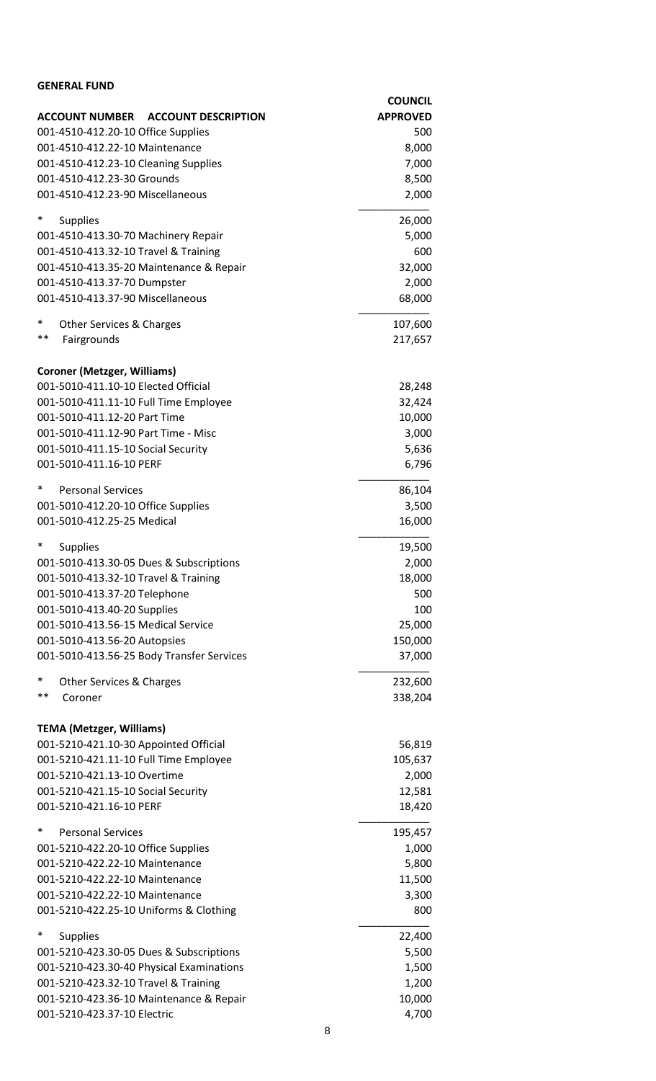| <b>GENERAL FUND</b>                                 |                    |
|-----------------------------------------------------|--------------------|
|                                                     | <b>COUNCIL</b>     |
| <b>ACCOUNT NUMBER</b><br><b>ACCOUNT DESCRIPTION</b> | <b>APPROVED</b>    |
| 001-4510-412.20-10 Office Supplies                  | 500                |
| 001-4510-412.22-10 Maintenance                      | 8,000              |
| 001-4510-412.23-10 Cleaning Supplies                | 7,000              |
| 001-4510-412.23-30 Grounds                          | 8,500              |
| 001-4510-412.23-90 Miscellaneous                    | 2,000              |
| $\ast$<br><b>Supplies</b>                           | 26,000             |
| 001-4510-413.30-70 Machinery Repair                 | 5,000              |
| 001-4510-413.32-10 Travel & Training                | 600                |
| 001-4510-413.35-20 Maintenance & Repair             | 32,000             |
| 001-4510-413.37-70 Dumpster                         | 2,000              |
| 001-4510-413.37-90 Miscellaneous                    | 68,000             |
| ∗<br>Other Services & Charges                       | 107,600            |
| $***$<br>Fairgrounds                                | 217,657            |
|                                                     |                    |
| <b>Coroner (Metzger, Williams)</b>                  |                    |
| 001-5010-411.10-10 Elected Official                 | 28,248             |
| 001-5010-411.11-10 Full Time Employee               | 32,424             |
| 001-5010-411.12-20 Part Time                        | 10,000             |
| 001-5010-411.12-90 Part Time - Misc                 | 3,000              |
| 001-5010-411.15-10 Social Security                  | 5,636              |
| 001-5010-411.16-10 PERF                             | 6,796              |
| ∗<br><b>Personal Services</b>                       | 86,104             |
| 001-5010-412.20-10 Office Supplies                  | 3,500              |
| 001-5010-412.25-25 Medical                          | 16,000             |
| $\ast$<br><b>Supplies</b>                           | 19,500             |
| 001-5010-413.30-05 Dues & Subscriptions             | 2,000              |
| 001-5010-413.32-10 Travel & Training                | 18,000             |
| 001-5010-413.37-20 Telephone                        | 500                |
| 001-5010-413.40-20 Supplies                         | 100                |
| 001-5010-413.56-15 Medical Service                  | 25,000             |
| 001-5010-413.56-20 Autopsies                        | 150,000            |
| 001-5010-413.56-25 Body Transfer Services           | 37,000             |
| ∗                                                   |                    |
| Other Services & Charges<br>$***$<br>Coroner        | 232,600<br>338,204 |
|                                                     |                    |
| <b>TEMA (Metzger, Williams)</b>                     |                    |
| 001-5210-421.10-30 Appointed Official               | 56,819             |
| 001-5210-421.11-10 Full Time Employee               | 105,637            |
| 001-5210-421.13-10 Overtime                         | 2,000              |
| 001-5210-421.15-10 Social Security                  | 12,581             |
| 001-5210-421.16-10 PERF                             | 18,420             |
| $\ast$<br><b>Personal Services</b>                  | 195,457            |
| 001-5210-422.20-10 Office Supplies                  | 1,000              |
| 001-5210-422.22-10 Maintenance                      | 5,800              |
| 001-5210-422.22-10 Maintenance                      | 11,500             |
| 001-5210-422.22-10 Maintenance                      | 3,300              |
| 001-5210-422.25-10 Uniforms & Clothing              | 800                |
| *<br><b>Supplies</b>                                | 22,400             |
| 001-5210-423.30-05 Dues & Subscriptions             | 5,500              |
| 001-5210-423.30-40 Physical Examinations            | 1,500              |
| 001-5210-423.32-10 Travel & Training                | 1,200              |
| 001-5210-423.36-10 Maintenance & Repair             | 10,000             |
| 001-5210-423.37-10 Electric                         | 4,700              |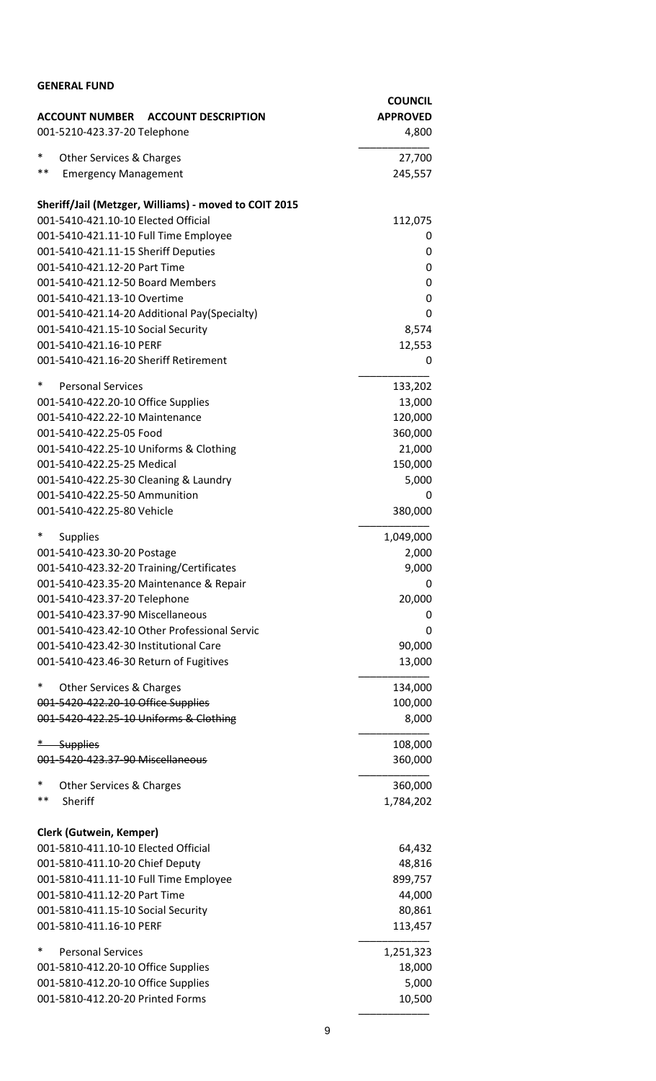| <b>GENERAL FUND</b>                                                  |                    |
|----------------------------------------------------------------------|--------------------|
|                                                                      | <b>COUNCIL</b>     |
| ACCOUNT NUMBER ACCOUNT DESCRIPTION                                   | <b>APPROVED</b>    |
| 001-5210-423.37-20 Telephone                                         | 4,800              |
| *<br>Other Services & Charges                                        | 27,700             |
| $***$<br><b>Emergency Management</b>                                 | 245,557            |
| Sheriff/Jail (Metzger, Williams) - moved to COIT 2015                |                    |
| 001-5410-421.10-10 Elected Official                                  | 112,075            |
| 001-5410-421.11-10 Full Time Employee                                | 0                  |
| 001-5410-421.11-15 Sheriff Deputies                                  | 0                  |
| 001-5410-421.12-20 Part Time                                         | 0                  |
| 001-5410-421.12-50 Board Members                                     | 0                  |
| 001-5410-421.13-10 Overtime                                          | 0                  |
| 001-5410-421.14-20 Additional Pay(Specialty)                         | 0                  |
| 001-5410-421.15-10 Social Security<br>001-5410-421.16-10 PERF        | 8,574              |
| 001-5410-421.16-20 Sheriff Retirement                                | 12,553<br>0        |
|                                                                      |                    |
| *<br><b>Personal Services</b>                                        | 133,202            |
| 001-5410-422.20-10 Office Supplies<br>001-5410-422.22-10 Maintenance | 13,000<br>120,000  |
| 001-5410-422.25-05 Food                                              | 360,000            |
| 001-5410-422.25-10 Uniforms & Clothing                               | 21,000             |
| 001-5410-422.25-25 Medical                                           | 150,000            |
| 001-5410-422.25-30 Cleaning & Laundry                                | 5,000              |
| 001-5410-422.25-50 Ammunition                                        | 0                  |
| 001-5410-422.25-80 Vehicle                                           | 380,000            |
| $\ast$                                                               |                    |
| <b>Supplies</b><br>001-5410-423.30-20 Postage                        | 1,049,000<br>2,000 |
| 001-5410-423.32-20 Training/Certificates                             | 9,000              |
| 001-5410-423.35-20 Maintenance & Repair                              | 0                  |
| 001-5410-423.37-20 Telephone                                         | 20,000             |
| 001-5410-423.37-90 Miscellaneous                                     | 0                  |
| 001-5410-423.42-10 Other Professional Servic                         | 0                  |
| 001-5410-423.42-30 Institutional Care                                | 90,000             |
| 001-5410-423.46-30 Return of Fugitives                               | 13,000             |
| ∗<br>Other Services & Charges                                        | 134,000            |
| 001-5420-422.20-10 Office Supplies                                   | 100,000            |
| 001-5420-422.25-10 Uniforms & Clothing                               | 8,000              |
| $*$<br><b>Supplies</b>                                               | 108,000            |
| 001-5420-423.37-90 Miscellaneous                                     | 360,000            |
| ∗<br>Other Services & Charges                                        | 360,000            |
| $***$<br>Sheriff                                                     | 1,784,202          |
| Clerk (Gutwein, Kemper)                                              |                    |
| 001-5810-411.10-10 Elected Official                                  | 64,432             |
| 001-5810-411.10-20 Chief Deputy                                      | 48,816             |
| 001-5810-411.11-10 Full Time Employee                                | 899,757            |
| 001-5810-411.12-20 Part Time                                         | 44,000             |
| 001-5810-411.15-10 Social Security                                   | 80,861             |
| 001-5810-411.16-10 PERF                                              | 113,457            |
| *<br><b>Personal Services</b>                                        | 1,251,323          |
| 001-5810-412.20-10 Office Supplies                                   | 18,000             |
| 001-5810-412.20-10 Office Supplies                                   | 5,000              |
| 001-5810-412.20-20 Printed Forms                                     | 10,500             |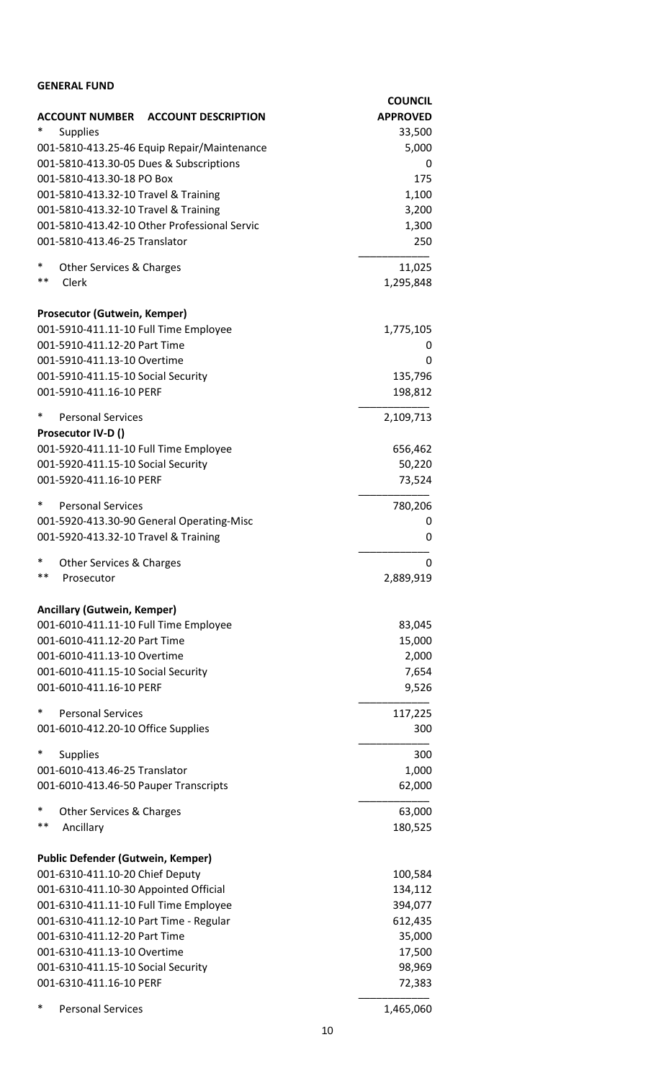| <b>GENERAL FUND</b>                                           |                                   |
|---------------------------------------------------------------|-----------------------------------|
| <b>ACCOUNT NUMBER</b><br><b>ACCOUNT DESCRIPTION</b>           | <b>COUNCIL</b><br><b>APPROVED</b> |
| <b>Supplies</b>                                               | 33,500                            |
| 001-5810-413.25-46 Equip Repair/Maintenance                   | 5,000                             |
| 001-5810-413.30-05 Dues & Subscriptions                       | 0                                 |
| 001-5810-413.30-18 PO Box                                     | 175                               |
| 001-5810-413.32-10 Travel & Training                          | 1,100                             |
| 001-5810-413.32-10 Travel & Training                          | 3,200                             |
| 001-5810-413.42-10 Other Professional Servic                  | 1,300                             |
| 001-5810-413.46-25 Translator                                 | 250                               |
| $\ast$<br><b>Other Services &amp; Charges</b>                 | 11,025                            |
| **<br>Clerk                                                   | 1,295,848                         |
| Prosecutor (Gutwein, Kemper)                                  |                                   |
| 001-5910-411.11-10 Full Time Employee                         | 1,775,105                         |
| 001-5910-411.12-20 Part Time                                  | 0                                 |
| 001-5910-411.13-10 Overtime                                   | 0                                 |
| 001-5910-411.15-10 Social Security                            | 135,796                           |
| 001-5910-411.16-10 PERF                                       | 198,812                           |
| $\ast$<br><b>Personal Services</b>                            | 2,109,713                         |
| Prosecutor IV-D ()                                            |                                   |
| 001-5920-411.11-10 Full Time Employee                         | 656,462                           |
| 001-5920-411.15-10 Social Security<br>001-5920-411.16-10 PERF | 50,220<br>73,524                  |
|                                                               |                                   |
| $\ast$<br><b>Personal Services</b>                            | 780,206                           |
| 001-5920-413.30-90 General Operating-Misc                     | 0                                 |
| 001-5920-413.32-10 Travel & Training                          | 0                                 |
| $\ast$<br>Other Services & Charges                            | 0                                 |
| **<br>Prosecutor                                              | 2,889,919                         |
| <b>Ancillary (Gutwein, Kemper)</b>                            |                                   |
| 001-6010-411.11-10 Full Time Employee                         | 83,045                            |
| 001-6010-411.12-20 Part Time                                  | 15,000                            |
| 001-6010-411.13-10 Overtime                                   | 2,000                             |
| 001-6010-411.15-10 Social Security                            | 7,654                             |
| 001-6010-411.16-10 PERF                                       | 9,526                             |
| $\ast$<br><b>Personal Services</b>                            | 117,225                           |
| 001-6010-412.20-10 Office Supplies                            | 300                               |
| $\ast$<br><b>Supplies</b>                                     | 300                               |
| 001-6010-413.46-25 Translator                                 | 1,000                             |
| 001-6010-413.46-50 Pauper Transcripts                         | 62,000                            |
| $\ast$<br>Other Services & Charges                            | 63,000                            |
| $***$<br>Ancillary                                            | 180,525                           |
| <b>Public Defender (Gutwein, Kemper)</b>                      |                                   |
| 001-6310-411.10-20 Chief Deputy                               | 100,584                           |
| 001-6310-411.10-30 Appointed Official                         | 134,112                           |
| 001-6310-411.11-10 Full Time Employee                         | 394,077                           |
| 001-6310-411.12-10 Part Time - Regular                        | 612,435                           |
| 001-6310-411.12-20 Part Time                                  | 35,000                            |
| 001-6310-411.13-10 Overtime                                   | 17,500                            |
| 001-6310-411.15-10 Social Security                            | 98,969                            |
| 001-6310-411.16-10 PERF                                       | 72,383                            |
| *<br><b>Personal Services</b>                                 | 1,465,060                         |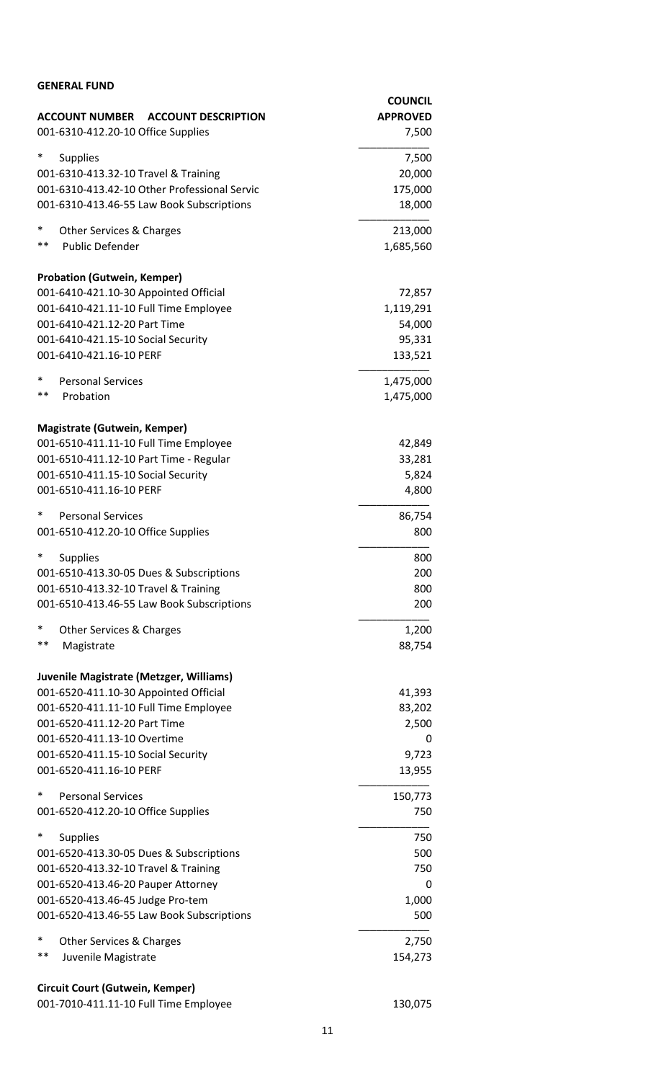| <b>GENERAL FUND</b>                                 |                 |
|-----------------------------------------------------|-----------------|
|                                                     | <b>COUNCIL</b>  |
| <b>ACCOUNT NUMBER</b><br><b>ACCOUNT DESCRIPTION</b> | <b>APPROVED</b> |
| 001-6310-412.20-10 Office Supplies                  | 7,500           |
| ∗<br><b>Supplies</b>                                | 7,500           |
| 001-6310-413.32-10 Travel & Training                | 20,000          |
| 001-6310-413.42-10 Other Professional Servic        | 175,000         |
| 001-6310-413.46-55 Law Book Subscriptions           | 18,000          |
| $\ast$<br><b>Other Services &amp; Charges</b>       | 213,000         |
| $***$<br><b>Public Defender</b>                     | 1,685,560       |
| <b>Probation (Gutwein, Kemper)</b>                  |                 |
| 001-6410-421.10-30 Appointed Official               | 72,857          |
| 001-6410-421.11-10 Full Time Employee               | 1,119,291       |
| 001-6410-421.12-20 Part Time                        | 54,000          |
| 001-6410-421.15-10 Social Security                  | 95,331          |
| 001-6410-421.16-10 PERF                             | 133,521         |
| $\ast$<br><b>Personal Services</b>                  | 1,475,000       |
| $***$<br>Probation                                  | 1,475,000       |
| Magistrate (Gutwein, Kemper)                        |                 |
| 001-6510-411.11-10 Full Time Employee               | 42,849          |
| 001-6510-411.12-10 Part Time - Regular              | 33,281          |
| 001-6510-411.15-10 Social Security                  | 5,824           |
| 001-6510-411.16-10 PERF                             | 4,800           |
| ∗<br><b>Personal Services</b>                       | 86,754          |
| 001-6510-412.20-10 Office Supplies                  | 800             |
| * Supplies                                          | 800             |
| 001-6510-413.30-05 Dues & Subscriptions             | 200             |
| 001-6510-413.32-10 Travel & Training                | 800             |
| 001-6510-413.46-55 Law Book Subscriptions           | 200             |
| $\ast$<br><b>Other Services &amp; Charges</b>       | 1,200           |
| $***$<br>Magistrate                                 | 88,754          |
| Juvenile Magistrate (Metzger, Williams)             |                 |
| 001-6520-411.10-30 Appointed Official               | 41,393          |
| 001-6520-411.11-10 Full Time Employee               | 83,202          |
| 001-6520-411.12-20 Part Time                        | 2,500           |
| 001-6520-411.13-10 Overtime                         | 0               |
| 001-6520-411.15-10 Social Security                  | 9,723           |
| 001-6520-411.16-10 PERF                             | 13,955          |
| *<br><b>Personal Services</b>                       | 150,773         |
| 001-6520-412.20-10 Office Supplies                  | 750             |
| $\ast$<br><b>Supplies</b>                           | 750             |
| 001-6520-413.30-05 Dues & Subscriptions             | 500             |
| 001-6520-413.32-10 Travel & Training                | 750             |
| 001-6520-413.46-20 Pauper Attorney                  | 0               |
| 001-6520-413.46-45 Judge Pro-tem                    | 1,000           |
| 001-6520-413.46-55 Law Book Subscriptions           | 500             |
| ∗<br><b>Other Services &amp; Charges</b>            | 2,750           |
| $***$<br>Juvenile Magistrate                        | 154,273         |
| Circuit Court (Gutwein, Kemper)                     |                 |

| 001-7010-411.11-10 Full Time Employee | 130,075 |
|---------------------------------------|---------|
|---------------------------------------|---------|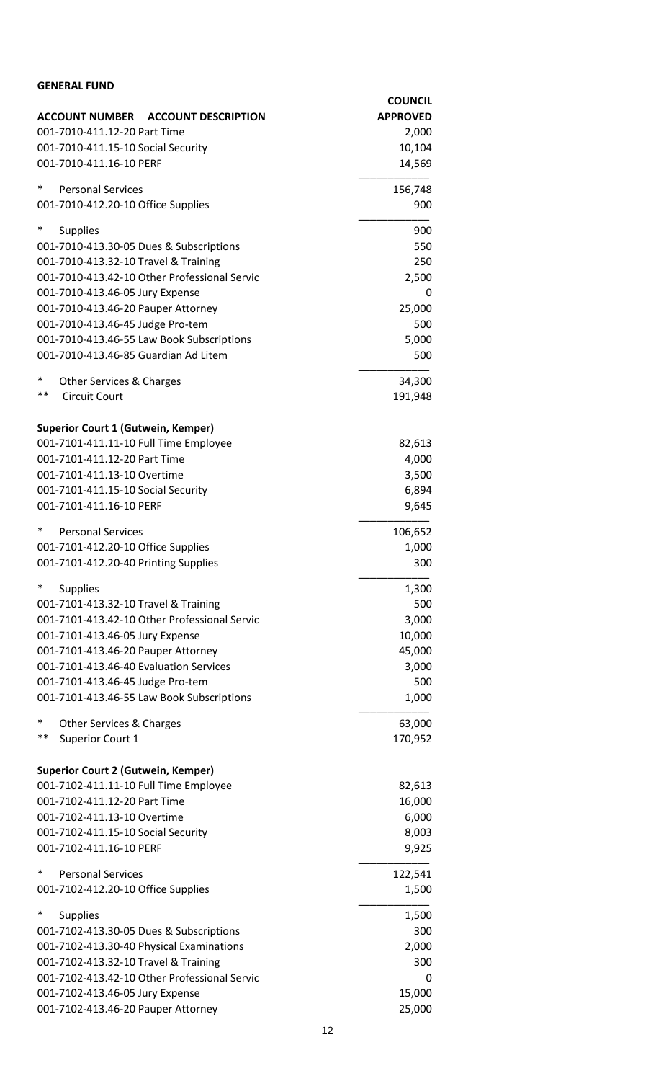| <b>GENERAL FUND</b>                                           |                  |
|---------------------------------------------------------------|------------------|
|                                                               | <b>COUNCIL</b>   |
| <b>ACCOUNT NUMBER</b><br><b>ACCOUNT DESCRIPTION</b>           | <b>APPROVED</b>  |
| 001-7010-411.12-20 Part Time                                  | 2,000            |
| 001-7010-411.15-10 Social Security<br>001-7010-411.16-10 PERF | 10,104<br>14,569 |
|                                                               |                  |
| $\ast$<br><b>Personal Services</b>                            | 156,748          |
| 001-7010-412.20-10 Office Supplies                            | 900              |
| $\ast$<br><b>Supplies</b>                                     | 900              |
| 001-7010-413.30-05 Dues & Subscriptions                       | 550              |
| 001-7010-413.32-10 Travel & Training                          | 250              |
| 001-7010-413.42-10 Other Professional Servic                  | 2,500            |
| 001-7010-413.46-05 Jury Expense                               | 0                |
| 001-7010-413.46-20 Pauper Attorney                            | 25,000           |
| 001-7010-413.46-45 Judge Pro-tem                              | 500              |
| 001-7010-413.46-55 Law Book Subscriptions                     | 5,000            |
| 001-7010-413.46-85 Guardian Ad Litem                          | 500              |
| $\ast$<br>Other Services & Charges                            | 34,300           |
| $***$<br><b>Circuit Court</b>                                 | 191,948          |
| <b>Superior Court 1 (Gutwein, Kemper)</b>                     |                  |
| 001-7101-411.11-10 Full Time Employee                         | 82,613           |
| 001-7101-411.12-20 Part Time                                  | 4,000            |
| 001-7101-411.13-10 Overtime                                   | 3,500            |
| 001-7101-411.15-10 Social Security                            | 6,894            |
| 001-7101-411.16-10 PERF                                       | 9,645            |
| $\ast$<br><b>Personal Services</b>                            | 106,652          |
| 001-7101-412.20-10 Office Supplies                            | 1,000            |
| 001-7101-412.20-40 Printing Supplies                          | 300              |
| $\ast$<br><b>Supplies</b>                                     | 1,300            |
| 001-7101-413.32-10 Travel & Training                          | 500              |
| 001-7101-413.42-10 Other Professional Servic                  | 3,000            |
| 001-7101-413.46-05 Jury Expense                               | 10,000           |
| 001-7101-413.46-20 Pauper Attorney                            | 45,000           |
| 001-7101-413.46-40 Evaluation Services                        | 3,000            |
| 001-7101-413.46-45 Judge Pro-tem                              | 500              |
| 001-7101-413.46-55 Law Book Subscriptions                     | 1,000            |
| $\ast$<br>Other Services & Charges                            | 63,000           |
| $***$<br><b>Superior Court 1</b>                              | 170,952          |
| <b>Superior Court 2 (Gutwein, Kemper)</b>                     |                  |
| 001-7102-411.11-10 Full Time Employee                         | 82,613           |
| 001-7102-411.12-20 Part Time                                  | 16,000           |
| 001-7102-411.13-10 Overtime                                   | 6,000            |
| 001-7102-411.15-10 Social Security                            | 8,003            |
| 001-7102-411.16-10 PERF                                       | 9,925            |
| $\ast$<br><b>Personal Services</b>                            | 122,541          |
| 001-7102-412.20-10 Office Supplies                            | 1,500            |
| $\ast$<br><b>Supplies</b>                                     | 1,500            |
| 001-7102-413.30-05 Dues & Subscriptions                       | 300              |
| 001-7102-413.30-40 Physical Examinations                      | 2,000            |
| 001-7102-413.32-10 Travel & Training                          | 300              |
| 001-7102-413.42-10 Other Professional Servic                  | 0                |
| 001-7102-413.46-05 Jury Expense                               | 15,000           |
| 001-7102-413.46-20 Pauper Attorney                            | 25,000           |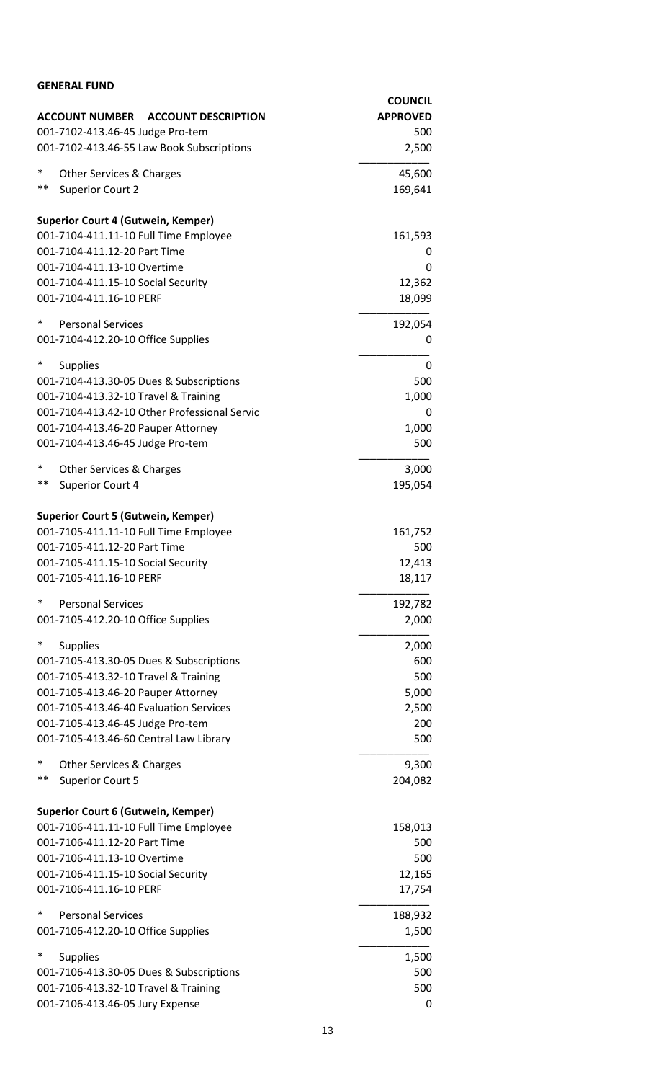| <b>GENERAL FUND</b>                                                                |                                   |
|------------------------------------------------------------------------------------|-----------------------------------|
| <b>ACCOUNT DESCRIPTION</b>                                                         | <b>COUNCIL</b><br><b>APPROVED</b> |
| <b>ACCOUNT NUMBER</b><br>001-7102-413.46-45 Judge Pro-tem                          | 500                               |
| 001-7102-413.46-55 Law Book Subscriptions                                          | 2,500                             |
| $\ast$<br><b>Other Services &amp; Charges</b>                                      | 45,600                            |
| $***$<br><b>Superior Court 2</b>                                                   | 169,641                           |
| <b>Superior Court 4 (Gutwein, Kemper)</b>                                          |                                   |
| 001-7104-411.11-10 Full Time Employee                                              | 161,593                           |
| 001-7104-411.12-20 Part Time                                                       | 0                                 |
| 001-7104-411.13-10 Overtime<br>001-7104-411.15-10 Social Security                  | 0<br>12,362                       |
| 001-7104-411.16-10 PERF                                                            | 18,099                            |
| $\ast$<br><b>Personal Services</b>                                                 | 192,054                           |
| 001-7104-412.20-10 Office Supplies                                                 | 0                                 |
| ∗<br><b>Supplies</b>                                                               | 0                                 |
| 001-7104-413.30-05 Dues & Subscriptions                                            | 500                               |
| 001-7104-413.32-10 Travel & Training                                               | 1,000                             |
| 001-7104-413.42-10 Other Professional Servic<br>001-7104-413.46-20 Pauper Attorney | 0<br>1,000                        |
| 001-7104-413.46-45 Judge Pro-tem                                                   | 500                               |
| $\ast$<br>Other Services & Charges                                                 | 3,000                             |
| $***$<br>Superior Court 4                                                          | 195,054                           |
| <b>Superior Court 5 (Gutwein, Kemper)</b>                                          |                                   |
| 001-7105-411.11-10 Full Time Employee                                              | 161,752                           |
| 001-7105-411.12-20 Part Time                                                       | 500                               |
| 001-7105-411.15-10 Social Security                                                 | 12,413                            |
| 001-7105-411.16-10 PERF                                                            | 18,117                            |
| $\ast$<br><b>Personal Services</b>                                                 | 192,782                           |
| 001-7105-412.20-10 Office Supplies                                                 | 2,000                             |
| $\ast$<br><b>Supplies</b>                                                          | 2,000                             |
| 001-7105-413.30-05 Dues & Subscriptions                                            | 600                               |
| 001-7105-413.32-10 Travel & Training<br>001-7105-413.46-20 Pauper Attorney         | 500<br>5,000                      |
| 001-7105-413.46-40 Evaluation Services                                             | 2,500                             |
| 001-7105-413.46-45 Judge Pro-tem                                                   | 200                               |
| 001-7105-413.46-60 Central Law Library                                             | 500                               |
| ∗<br>Other Services & Charges                                                      | 9,300                             |
| $***$<br><b>Superior Court 5</b>                                                   | 204,082                           |
| <b>Superior Court 6 (Gutwein, Kemper)</b>                                          |                                   |
| 001-7106-411.11-10 Full Time Employee                                              | 158,013                           |
| 001-7106-411.12-20 Part Time                                                       | 500                               |
| 001-7106-411.13-10 Overtime                                                        | 500                               |
| 001-7106-411.15-10 Social Security                                                 | 12,165                            |
| 001-7106-411.16-10 PERF                                                            | 17,754                            |
| ∗<br><b>Personal Services</b>                                                      | 188,932                           |
| 001-7106-412.20-10 Office Supplies                                                 | 1,500                             |
| *<br><b>Supplies</b>                                                               | 1,500                             |
| 001-7106-413.30-05 Dues & Subscriptions                                            | 500<br>500                        |
| 001-7106-413.32-10 Travel & Training<br>001-7106-413.46-05 Jury Expense            | 0                                 |
|                                                                                    |                                   |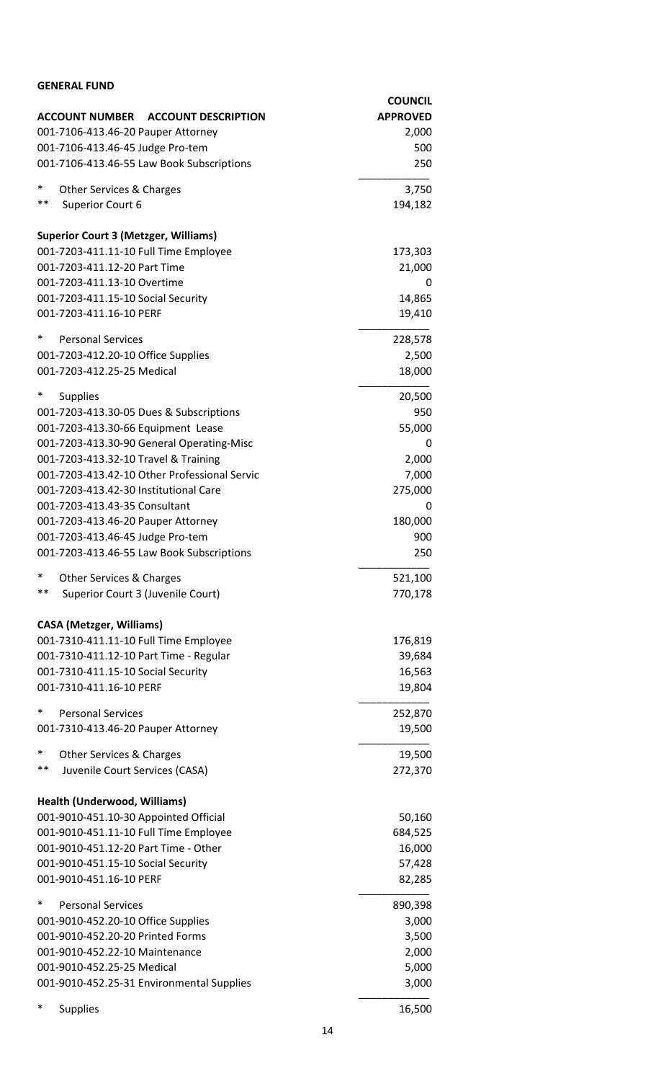| <b>GENERAL FUND</b>                                                    |                 |
|------------------------------------------------------------------------|-----------------|
|                                                                        | <b>COUNCIL</b>  |
| <b>ACCOUNT NUMBER</b><br><b>ACCOUNT DESCRIPTION</b>                    | <b>APPROVED</b> |
| 001-7106-413.46-20 Pauper Attorney                                     | 2,000           |
| 001-7106-413.46-45 Judge Pro-tem                                       | 500             |
| 001-7106-413.46-55 Law Book Subscriptions                              | 250             |
| ∗<br>Other Services & Charges                                          | 3,750           |
| $***$<br>Superior Court 6                                              | 194,182         |
| <b>Superior Court 3 (Metzger, Williams)</b>                            |                 |
| 001-7203-411.11-10 Full Time Employee                                  | 173,303         |
| 001-7203-411.12-20 Part Time                                           | 21,000          |
| 001-7203-411.13-10 Overtime                                            | 0               |
| 001-7203-411.15-10 Social Security                                     | 14,865          |
| 001-7203-411.16-10 PERF                                                | 19,410          |
| $\ast$<br><b>Personal Services</b>                                     | 228,578         |
| 001-7203-412.20-10 Office Supplies                                     | 2,500           |
| 001-7203-412.25-25 Medical                                             | 18,000          |
| ∗<br><b>Supplies</b>                                                   | 20,500          |
| 001-7203-413.30-05 Dues & Subscriptions                                | 950             |
| 001-7203-413.30-66 Equipment Lease                                     | 55,000          |
| 001-7203-413.30-90 General Operating-Misc                              | 0               |
| 001-7203-413.32-10 Travel & Training                                   | 2,000           |
| 001-7203-413.42-10 Other Professional Servic                           | 7,000           |
| 001-7203-413.42-30 Institutional Care                                  | 275,000         |
| 001-7203-413.43-35 Consultant                                          | 0               |
| 001-7203-413.46-20 Pauper Attorney<br>001-7203-413.46-45 Judge Pro-tem | 180,000<br>900  |
| 001-7203-413.46-55 Law Book Subscriptions                              | 250             |
| *                                                                      |                 |
| Other Services & Charges<br>**                                         | 521,100         |
| Superior Court 3 (Juvenile Court)                                      | 770,178         |
| <b>CASA (Metzger, Williams)</b>                                        |                 |
| 001-7310-411.11-10 Full Time Employee                                  | 176,819         |
| 001-7310-411.12-10 Part Time - Regular                                 | 39,684          |
| 001-7310-411.15-10 Social Security                                     | 16,563          |
| 001-7310-411.16-10 PERF                                                | 19,804          |
| $\ast$<br><b>Personal Services</b>                                     | 252,870         |
| 001-7310-413.46-20 Pauper Attorney                                     | 19,500          |
| ∗<br>Other Services & Charges                                          | 19,500          |
| **<br>Juvenile Court Services (CASA)                                   | 272,370         |
| Health (Underwood, Williams)                                           |                 |
| 001-9010-451.10-30 Appointed Official                                  | 50,160          |
| 001-9010-451.11-10 Full Time Employee                                  | 684,525         |
| 001-9010-451.12-20 Part Time - Other                                   | 16,000          |
| 001-9010-451.15-10 Social Security                                     | 57,428          |
| 001-9010-451.16-10 PERF                                                | 82,285          |
| *<br><b>Personal Services</b>                                          | 890,398         |
| 001-9010-452.20-10 Office Supplies                                     | 3,000           |
| 001-9010-452.20-20 Printed Forms                                       | 3,500           |
| 001-9010-452.22-10 Maintenance                                         | 2,000           |
| 001-9010-452.25-25 Medical                                             | 5,000           |
| 001-9010-452.25-31 Environmental Supplies                              | 3,000           |
| $\ast$<br><b>Supplies</b>                                              | 16,500          |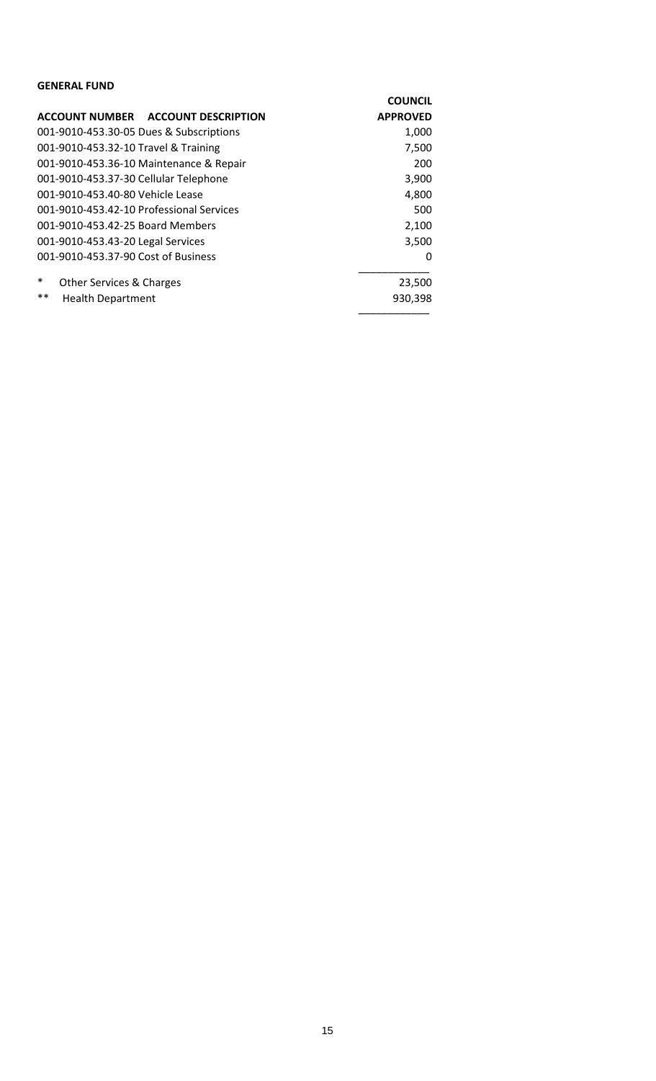| <b>GENERAL FUND</b>                           |                 |
|-----------------------------------------------|-----------------|
|                                               | <b>COUNCIL</b>  |
| ACCOUNT NUMBER ACCOUNT DESCRIPTION            | <b>APPROVED</b> |
| 001-9010-453.30-05 Dues & Subscriptions       | 1,000           |
| 001-9010-453.32-10 Travel & Training          | 7,500           |
| 001-9010-453.36-10 Maintenance & Repair       | 200             |
| 001-9010-453.37-30 Cellular Telephone         | 3,900           |
| 001-9010-453.40-80 Vehicle Lease              | 4,800           |
| 001-9010-453.42-10 Professional Services      | 500             |
| 001-9010-453.42-25 Board Members              | 2,100           |
| 001-9010-453.43-20 Legal Services             | 3,500           |
| 001-9010-453.37-90 Cost of Business           | 0               |
| $\ast$<br><b>Other Services &amp; Charges</b> | 23,500          |
| $***$<br><b>Health Department</b>             | 930,398         |
|                                               |                 |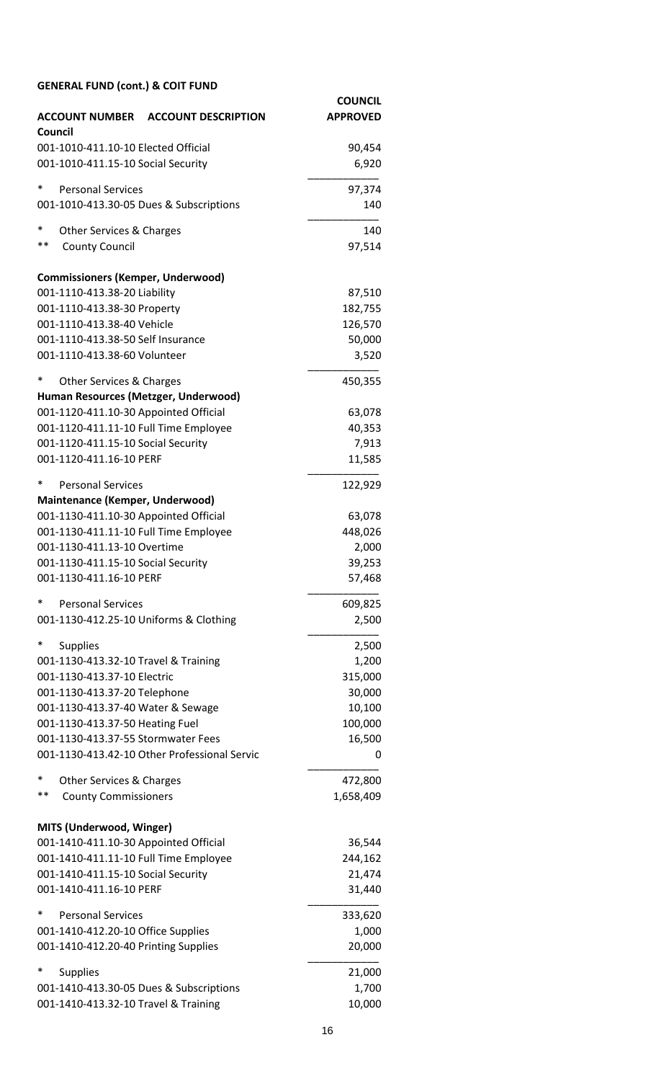| <b>ACCOUNT NUMBER</b><br><b>ACCOUNT DESCRIPTION</b>                                | <b>COUNCIL</b><br><b>APPROVED</b> |
|------------------------------------------------------------------------------------|-----------------------------------|
| Council<br>001-1010-411.10-10 Elected Official                                     | 90,454                            |
| 001-1010-411.15-10 Social Security                                                 | 6,920                             |
| *<br><b>Personal Services</b>                                                      | 97,374                            |
| 001-1010-413.30-05 Dues & Subscriptions                                            | 140                               |
| *<br>Other Services & Charges                                                      | 140                               |
| $***$<br><b>County Council</b>                                                     | 97,514                            |
| <b>Commissioners (Kemper, Underwood)</b>                                           |                                   |
| 001-1110-413.38-20 Liability<br>001-1110-413.38-30 Property                        | 87,510<br>182,755                 |
| 001-1110-413.38-40 Vehicle                                                         | 126,570                           |
| 001-1110-413.38-50 Self Insurance                                                  | 50,000                            |
| 001-1110-413.38-60 Volunteer                                                       | 3,520                             |
| ∗<br><b>Other Services &amp; Charges</b>                                           | 450,355                           |
| Human Resources (Metzger, Underwood)                                               |                                   |
| 001-1120-411.10-30 Appointed Official                                              | 63,078                            |
| 001-1120-411.11-10 Full Time Employee<br>001-1120-411.15-10 Social Security        | 40,353<br>7,913                   |
| 001-1120-411.16-10 PERF                                                            | 11,585                            |
| <b>Personal Services</b><br>∗                                                      | 122,929                           |
| Maintenance (Kemper, Underwood)                                                    |                                   |
| 001-1130-411.10-30 Appointed Official                                              | 63,078                            |
| 001-1130-411.11-10 Full Time Employee<br>001-1130-411.13-10 Overtime               | 448,026<br>2,000                  |
| 001-1130-411.15-10 Social Security                                                 | 39,253                            |
| 001-1130-411.16-10 PERF                                                            | 57,468                            |
| *<br><b>Personal Services</b>                                                      | 609,825                           |
| 001-1130-412.25-10 Uniforms & Clothing                                             | 2,500                             |
| <b>Supplies</b>                                                                    | 2,500                             |
| 001-1130-413.32-10 Travel & Training                                               | 1,200                             |
| 001-1130-413.37-10 Electric                                                        | 315,000                           |
| 001-1130-413.37-20 Telephone                                                       | 30,000                            |
| 001-1130-413.37-40 Water & Sewage                                                  | 10,100                            |
| 001-1130-413.37-50 Heating Fuel                                                    | 100,000                           |
| 001-1130-413.37-55 Stormwater Fees<br>001-1130-413.42-10 Other Professional Servic | 16,500<br>0                       |
| *<br>Other Services & Charges                                                      | 472,800                           |
| **<br><b>County Commissioners</b>                                                  | 1,658,409                         |
| MITS (Underwood, Winger)                                                           |                                   |
| 001-1410-411.10-30 Appointed Official                                              | 36,544                            |
| 001-1410-411.11-10 Full Time Employee                                              | 244,162                           |
| 001-1410-411.15-10 Social Security<br>001-1410-411.16-10 PERF                      | 21,474                            |
| ∗                                                                                  | 31,440                            |
| <b>Personal Services</b><br>001-1410-412.20-10 Office Supplies                     | 333,620<br>1,000                  |
| 001-1410-412.20-40 Printing Supplies                                               | 20,000                            |
| <b>Supplies</b>                                                                    | 21,000                            |
| 001-1410-413.30-05 Dues & Subscriptions                                            | 1,700                             |
| 001-1410-413.32-10 Travel & Training                                               | 10,000                            |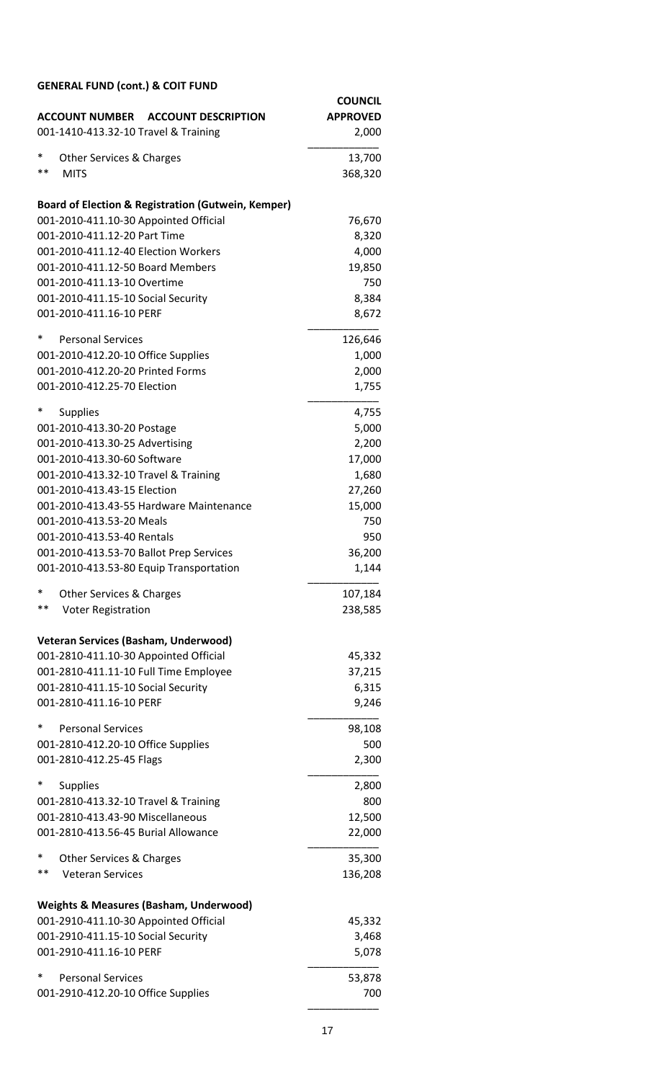| <b>ACCOUNT NUMBER ACCOUNT DESCRIPTION</b><br>001-1410-413.32-10 Travel & Training | <b>COUNCIL</b><br><b>APPROVED</b><br>2,000 |
|-----------------------------------------------------------------------------------|--------------------------------------------|
|                                                                                   |                                            |
| ∗<br><b>Other Services &amp; Charges</b><br>$***$                                 | 13,700                                     |
| <b>MITS</b>                                                                       | 368,320                                    |
| <b>Board of Election &amp; Registration (Gutwein, Kemper)</b>                     |                                            |
| 001-2010-411.10-30 Appointed Official                                             | 76,670                                     |
| 001-2010-411.12-20 Part Time                                                      | 8,320                                      |
| 001-2010-411.12-40 Election Workers                                               | 4,000                                      |
| 001-2010-411.12-50 Board Members                                                  | 19,850                                     |
| 001-2010-411.13-10 Overtime                                                       | 750                                        |
| 001-2010-411.15-10 Social Security                                                | 8,384                                      |
| 001-2010-411.16-10 PERF                                                           | 8,672                                      |
| ∗<br><b>Personal Services</b>                                                     | 126,646                                    |
| 001-2010-412.20-10 Office Supplies                                                | 1,000                                      |
| 001-2010-412.20-20 Printed Forms                                                  | 2,000                                      |
| 001-2010-412.25-70 Election                                                       | 1,755                                      |
| ∗<br><b>Supplies</b>                                                              | 4,755                                      |
| 001-2010-413.30-20 Postage                                                        | 5,000                                      |
| 001-2010-413.30-25 Advertising                                                    | 2,200                                      |
| 001-2010-413.30-60 Software                                                       | 17,000                                     |
| 001-2010-413.32-10 Travel & Training                                              | 1,680                                      |
| 001-2010-413.43-15 Election                                                       | 27,260                                     |
| 001-2010-413.43-55 Hardware Maintenance                                           | 15,000                                     |
| 001-2010-413.53-20 Meals<br>001-2010-413.53-40 Rentals                            | 750                                        |
| 001-2010-413.53-70 Ballot Prep Services                                           | 950<br>36,200                              |
| 001-2010-413.53-80 Equip Transportation                                           | 1,144                                      |
|                                                                                   |                                            |
| *<br>Other Services & Charges<br>**                                               | 107,184                                    |
| <b>Voter Registration</b>                                                         | 238,585                                    |
| <b>Veteran Services (Basham, Underwood)</b>                                       |                                            |
| 001-2810-411.10-30 Appointed Official                                             | 45,332                                     |
| 001-2810-411.11-10 Full Time Employee                                             | 37,215                                     |
| 001-2810-411.15-10 Social Security                                                | 6,315                                      |
| 001-2810-411.16-10 PERF                                                           | 9,246                                      |
| $\ast$<br><b>Personal Services</b>                                                | 98,108                                     |
| 001-2810-412.20-10 Office Supplies                                                | 500                                        |
| 001-2810-412.25-45 Flags                                                          | 2,300                                      |
| $\ast$<br><b>Supplies</b>                                                         | 2,800                                      |
| 001-2810-413.32-10 Travel & Training                                              | 800                                        |
| 001-2810-413.43-90 Miscellaneous                                                  | 12,500                                     |
| 001-2810-413.56-45 Burial Allowance                                               | 22,000                                     |
| *<br>Other Services & Charges                                                     | 35,300                                     |
| **<br><b>Veteran Services</b>                                                     | 136,208                                    |
| <b>Weights &amp; Measures (Basham, Underwood)</b>                                 |                                            |
| 001-2910-411.10-30 Appointed Official                                             | 45,332                                     |
| 001-2910-411.15-10 Social Security                                                | 3,468                                      |
| 001-2910-411.16-10 PERF                                                           | 5,078                                      |
| *<br><b>Personal Services</b>                                                     | 53,878                                     |
| 001-2910-412.20-10 Office Supplies                                                | 700                                        |
|                                                                                   |                                            |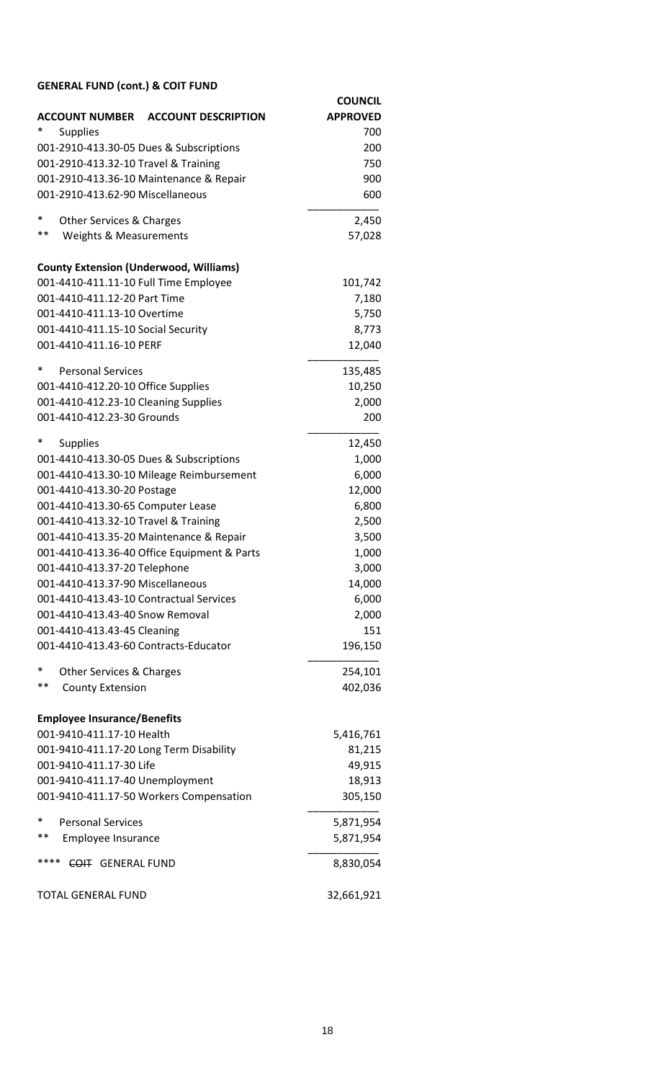|                                               |                                             | <b>COUNCIL</b>  |
|-----------------------------------------------|---------------------------------------------|-----------------|
| <b>ACCOUNT NUMBER</b>                         | <b>ACCOUNT DESCRIPTION</b>                  | <b>APPROVED</b> |
| *<br><b>Supplies</b>                          |                                             | 700             |
| 001-2910-413.30-05 Dues & Subscriptions       |                                             | 200             |
| 001-2910-413.32-10 Travel & Training          |                                             | 750             |
| 001-2910-413.36-10 Maintenance & Repair       |                                             | 900             |
| 001-2910-413.62-90 Miscellaneous              |                                             | 600             |
| *<br>Other Services & Charges                 |                                             | 2,450           |
| **<br><b>Weights &amp; Measurements</b>       |                                             | 57,028          |
| <b>County Extension (Underwood, Williams)</b> |                                             |                 |
| 001-4410-411.11-10 Full Time Employee         |                                             | 101,742         |
| 001-4410-411.12-20 Part Time                  |                                             | 7,180           |
| 001-4410-411.13-10 Overtime                   |                                             | 5,750           |
| 001-4410-411.15-10 Social Security            |                                             | 8,773           |
| 001-4410-411.16-10 PERF                       |                                             | 12,040          |
| $\ast$<br><b>Personal Services</b>            |                                             | 135,485         |
| 001-4410-412.20-10 Office Supplies            |                                             | 10,250          |
| 001-4410-412.23-10 Cleaning Supplies          |                                             | 2,000           |
| 001-4410-412.23-30 Grounds                    |                                             | 200             |
| ∗<br><b>Supplies</b>                          |                                             | 12,450          |
| 001-4410-413.30-05 Dues & Subscriptions       |                                             | 1,000           |
|                                               | 001-4410-413.30-10 Mileage Reimbursement    | 6,000           |
| 001-4410-413.30-20 Postage                    |                                             | 12,000          |
| 001-4410-413.30-65 Computer Lease             |                                             | 6,800           |
| 001-4410-413.32-10 Travel & Training          |                                             | 2,500           |
| 001-4410-413.35-20 Maintenance & Repair       |                                             | 3,500           |
|                                               | 001-4410-413.36-40 Office Equipment & Parts | 1,000           |
| 001-4410-413.37-20 Telephone                  |                                             | 3,000           |
| 001-4410-413.37-90 Miscellaneous              |                                             | 14,000          |
| 001-4410-413.43-10 Contractual Services       |                                             | 6,000           |
| 001-4410-413.43-40 Snow Removal               |                                             | 2,000           |
| 001-4410-413.43-45 Cleaning                   |                                             | 151             |
| 001-4410-413.43-60 Contracts-Educator         |                                             | 196,150         |
| $\ast$<br><b>Other Services &amp; Charges</b> |                                             | 254,101         |
| **<br><b>County Extension</b>                 |                                             | 402,036         |
| <b>Employee Insurance/Benefits</b>            |                                             |                 |
| 001-9410-411.17-10 Health                     |                                             | 5,416,761       |
| 001-9410-411.17-20 Long Term Disability       |                                             | 81,215          |
| 001-9410-411.17-30 Life                       |                                             | 49,915          |
| 001-9410-411.17-40 Unemployment               |                                             | 18,913          |
|                                               | 001-9410-411.17-50 Workers Compensation     | 305,150         |
| *<br><b>Personal Services</b>                 |                                             | 5,871,954       |
| $***$<br>Employee Insurance                   |                                             | 5,871,954       |
| ****<br>COIT GENERAL FUND                     |                                             | 8,830,054       |
| <b>TOTAL GENERAL FUND</b>                     |                                             | 32,661,921      |